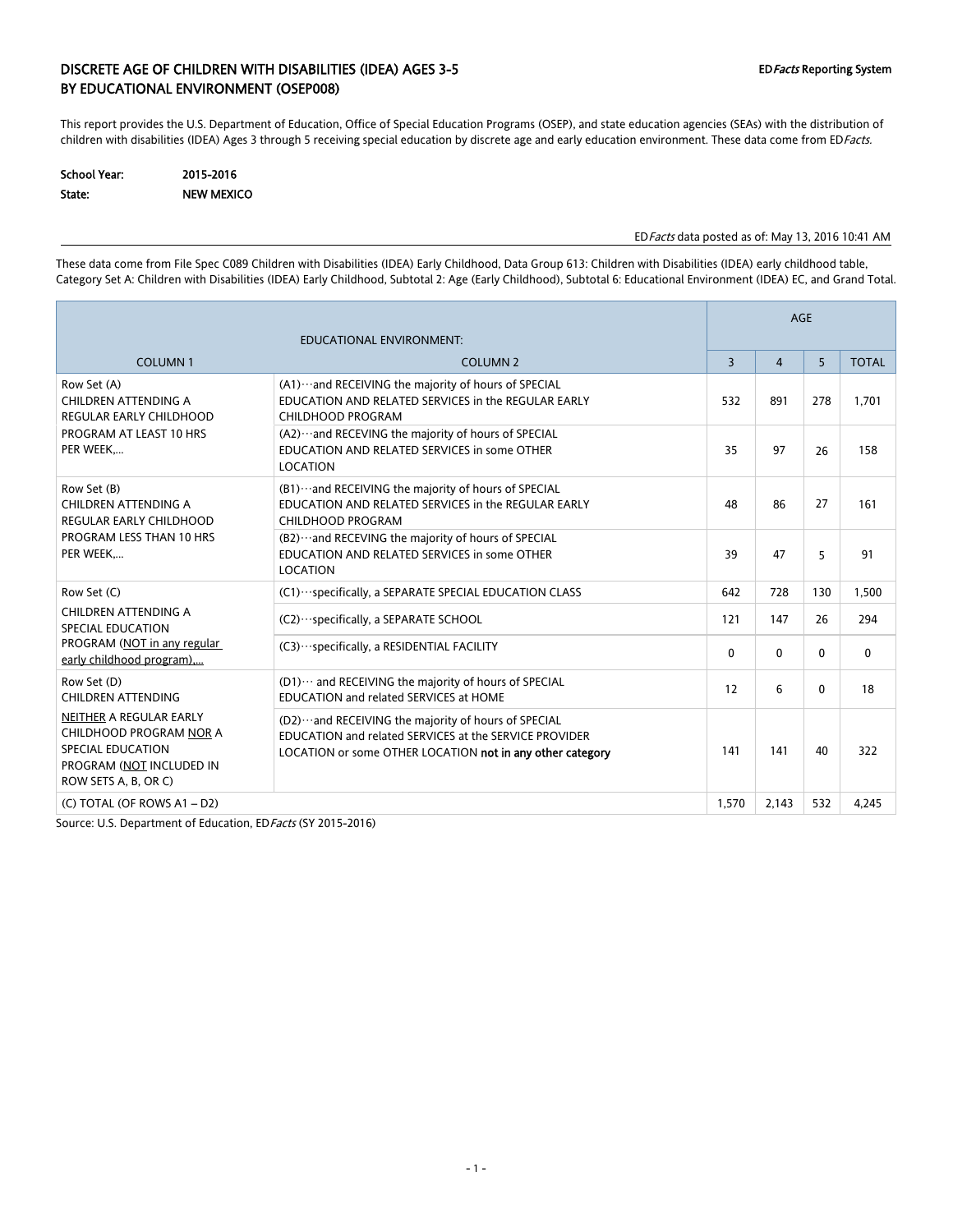### DISCRETE AGE OF CHILDREN WITH DISABILITIES (IDEA) AGES 3-5 EDFACTS Reporting System BY EDUCATIONAL ENVIRONMENT (OSEP008)

This report provides the U.S. Department of Education, Office of Special Education Programs (OSEP), and state education agencies (SEAs) with the distribution of children with disabilities (IDEA) Ages 3 through 5 receiving special education by discrete age and early education environment. These data come from EDFacts.

| <b>School Year:</b> | 2015-2016         |
|---------------------|-------------------|
| State:              | <b>NEW MEXICO</b> |

#### EDFacts data posted as of: May 13, 2016 10:41 AM

These data come from File Spec C089 Children with Disabilities (IDEA) Early Childhood, Data Group 613: Children with Disabilities (IDEA) early childhood table, Category Set A: Children with Disabilities (IDEA) Early Childhood, Subtotal 2: Age (Early Childhood), Subtotal 6: Educational Environment (IDEA) EC, and Grand Total.

|                                                                                                                                    |                                                                                                                                                                             | <b>AGE</b> |                |              |              |  |  |
|------------------------------------------------------------------------------------------------------------------------------------|-----------------------------------------------------------------------------------------------------------------------------------------------------------------------------|------------|----------------|--------------|--------------|--|--|
|                                                                                                                                    |                                                                                                                                                                             |            |                |              |              |  |  |
| <b>COLUMN1</b>                                                                                                                     | <b>COLUMN 2</b>                                                                                                                                                             | 3          | $\overline{4}$ | 5            | <b>TOTAL</b> |  |  |
| Row Set (A)<br>CHILDREN ATTENDING A<br><b>REGULAR EARLY CHILDHOOD</b>                                                              | (A1)  and RECEIVING the majority of hours of SPECIAL<br>EDUCATION AND RELATED SERVICES in the REGULAR EARLY<br><b>CHILDHOOD PROGRAM</b>                                     | 532        | 891            | 278          | 1,701        |  |  |
| PROGRAM AT LEAST 10 HRS<br>PER WEEK                                                                                                | (A2) ··· and RECEVING the majority of hours of SPECIAL<br>EDUCATION AND RELATED SERVICES in some OTHER<br><b>LOCATION</b>                                                   | 35         | 97             | 26           | 158          |  |  |
| Row Set (B)<br>CHILDREN ATTENDING A<br><b>REGULAR EARLY CHILDHOOD</b>                                                              | (B1) ··· and RECEIVING the majority of hours of SPECIAL<br>EDUCATION AND RELATED SERVICES in the REGULAR EARLY<br><b>CHILDHOOD PROGRAM</b>                                  | 48         | 86             | 27           | 161          |  |  |
| PROGRAM LESS THAN 10 HRS<br>PER WEEK                                                                                               | (B2) ··· and RECEVING the majority of hours of SPECIAL<br>EDUCATION AND RELATED SERVICES in some OTHER<br><b>LOCATION</b>                                                   | 39         | 47             | 5            | 91           |  |  |
| Row Set (C)                                                                                                                        | (C1) ··· specifically, a SEPARATE SPECIAL EDUCATION CLASS                                                                                                                   | 642        | 728            | 130          | 1,500        |  |  |
| CHILDREN ATTENDING A<br><b>SPECIAL EDUCATION</b>                                                                                   | (C2) · · · specifically, a SEPARATE SCHOOL                                                                                                                                  | 121        | 147            | 26           | 294          |  |  |
| PROGRAM (NOT in any regular<br>early childhood program)                                                                            | (C3) ··· specifically, a RESIDENTIAL FACILITY                                                                                                                               | 0          | 0              | $\mathbf{0}$ | $\mathbf{0}$ |  |  |
| Row Set (D)<br><b>CHILDREN ATTENDING</b>                                                                                           | (D1)  and RECEIVING the majority of hours of SPECIAL<br>EDUCATION and related SERVICES at HOME                                                                              | 12         | 6              | 0            | 18           |  |  |
| NEITHER A REGULAR EARLY<br>CHILDHOOD PROGRAM NOR A<br><b>SPECIAL EDUCATION</b><br>PROGRAM (NOT INCLUDED IN<br>ROW SETS A, B, OR C) | (D2)  and RECEIVING the majority of hours of SPECIAL<br>EDUCATION and related SERVICES at the SERVICE PROVIDER<br>LOCATION or some OTHER LOCATION not in any other category | 141        | 141            | 40           | 322          |  |  |
| (C) TOTAL (OF ROWS A1 - D2)                                                                                                        |                                                                                                                                                                             | 1,570      | 2,143          | 532          | 4,245        |  |  |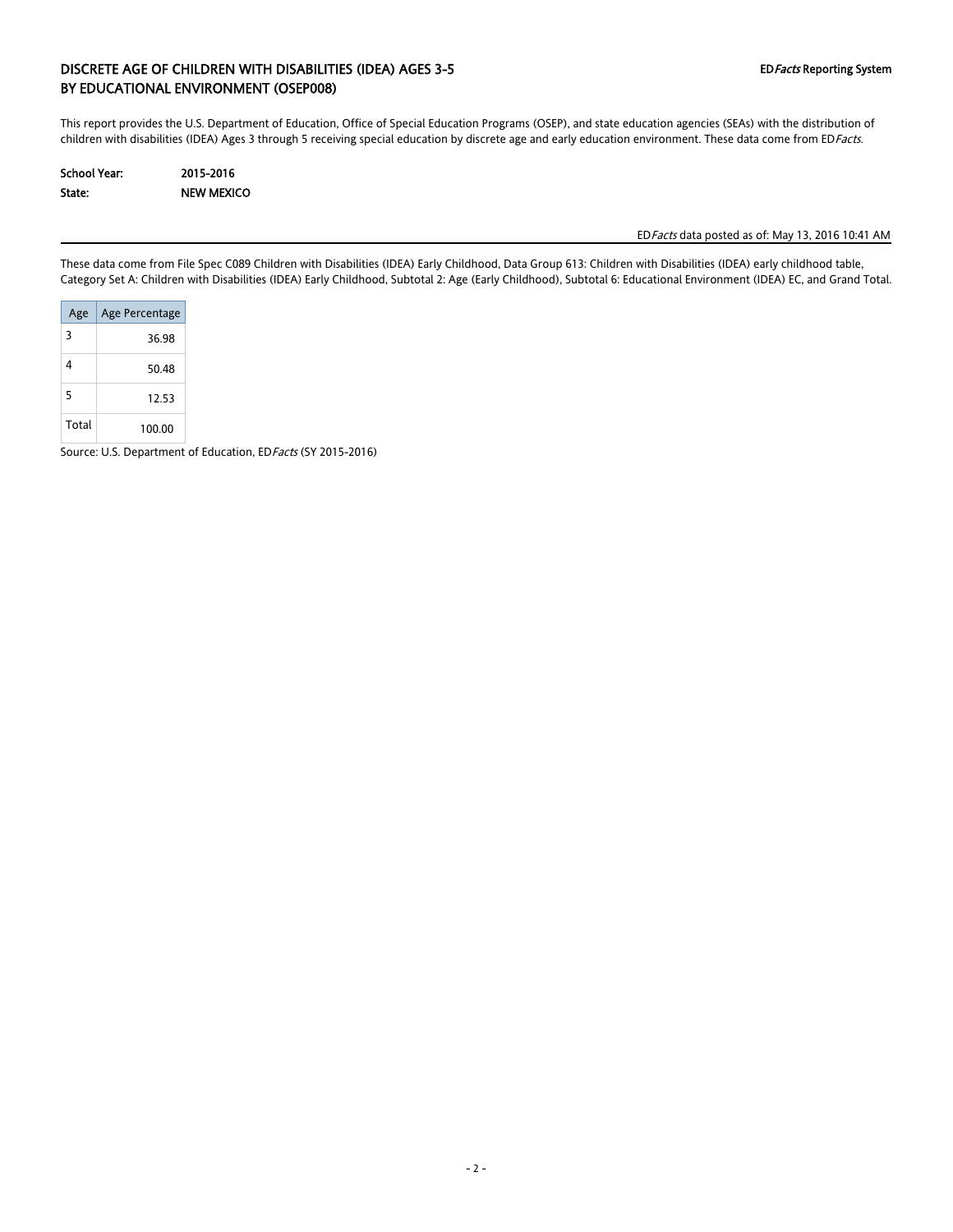### DISCRETE AGE OF CHILDREN WITH DISABILITIES (IDEA) AGES 3-5 EDFacts Reporting System BY EDUCATIONAL ENVIRONMENT (OSEP008)

This report provides the U.S. Department of Education, Office of Special Education Programs (OSEP), and state education agencies (SEAs) with the distribution of children with disabilities (IDEA) Ages 3 through 5 receiving special education by discrete age and early education environment. These data come from EDFacts.

| School Year: | 2015-2016         |
|--------------|-------------------|
| State:       | <b>NEW MEXICO</b> |

EDFacts data posted as of: May 13, 2016 10:41 AM

These data come from File Spec C089 Children with Disabilities (IDEA) Early Childhood, Data Group 613: Children with Disabilities (IDEA) early childhood table, Category Set A: Children with Disabilities (IDEA) Early Childhood, Subtotal 2: Age (Early Childhood), Subtotal 6: Educational Environment (IDEA) EC, and Grand Total.

| Age   | Age Percentage |
|-------|----------------|
| 3     | 36.98          |
| 4     | 50 48          |
| 5     | 12.53          |
| Total | 100.00         |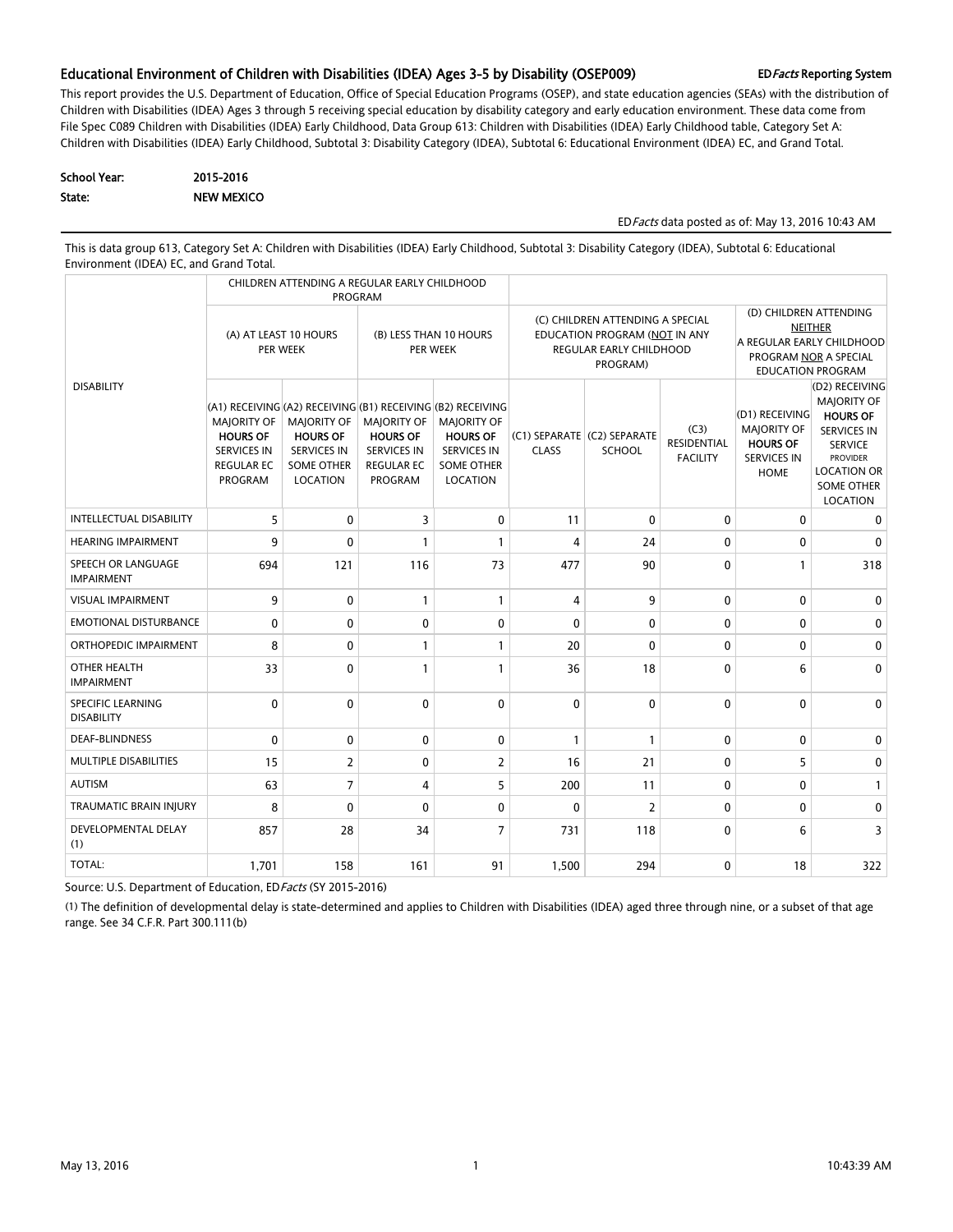#### Educational Environment of Children with Disabilities (IDEA) Ages 3-5 by Disability (OSEP009) EDFacts Reporting System

This report provides the U.S. Department of Education, Office of Special Education Programs (OSEP), and state education agencies (SEAs) with the distribution of Children with Disabilities (IDEA) Ages 3 through 5 receiving special education by disability category and early education environment. These data come from File Spec C089 Children with Disabilities (IDEA) Early Childhood, Data Group 613: Children with Disabilities (IDEA) Early Childhood table, Category Set A: Children with Disabilities (IDEA) Early Childhood, Subtotal 3: Disability Category (IDEA), Subtotal 6: Educational Environment (IDEA) EC, and Grand Total.

| School Year: | 2015-2016         |
|--------------|-------------------|
| State:       | <b>NEW MEXICO</b> |

#### EDFacts data posted as of: May 13, 2016 10:43 AM

This is data group 613, Category Set A: Children with Disabilities (IDEA) Early Childhood, Subtotal 3: Disability Category (IDEA), Subtotal 6: Educational Environment (IDEA) EC, and Grand Total.

|                                         | CHILDREN ATTENDING A REGULAR EARLY CHILDHOOD<br>PROGRAM                                                                                                           |                                                                                              |                                                                                                    |                                                                                              |                                                                                                          |                                              |                                               |                                                                                                                            |                                                                                                                                                                           |  |
|-----------------------------------------|-------------------------------------------------------------------------------------------------------------------------------------------------------------------|----------------------------------------------------------------------------------------------|----------------------------------------------------------------------------------------------------|----------------------------------------------------------------------------------------------|----------------------------------------------------------------------------------------------------------|----------------------------------------------|-----------------------------------------------|----------------------------------------------------------------------------------------------------------------------------|---------------------------------------------------------------------------------------------------------------------------------------------------------------------------|--|
|                                         | (A) AT LEAST 10 HOURS<br>PER WEEK                                                                                                                                 |                                                                                              | (B) LESS THAN 10 HOURS<br>PER WEEK                                                                 |                                                                                              | (C) CHILDREN ATTENDING A SPECIAL<br>EDUCATION PROGRAM (NOT IN ANY<br>REGULAR EARLY CHILDHOOD<br>PROGRAM) |                                              |                                               | (D) CHILDREN ATTENDING<br><b>NEITHER</b><br>A REGULAR EARLY CHILDHOOD<br>PROGRAM NOR A SPECIAL<br><b>EDUCATION PROGRAM</b> |                                                                                                                                                                           |  |
| <b>DISABILITY</b>                       | (A1) RECEIVING (A2) RECEIVING (B1) RECEIVING (B2) RECEIVING<br><b>MAJORITY OF</b><br><b>HOURS OF</b><br><b>SERVICES IN</b><br><b>REGULAR EC</b><br><b>PROGRAM</b> | <b>MAJORITY OF</b><br><b>HOURS OF</b><br><b>SERVICES IN</b><br><b>SOME OTHER</b><br>LOCATION | <b>MAJORITY OF</b><br><b>HOURS OF</b><br><b>SERVICES IN</b><br><b>REGULAR EC</b><br><b>PROGRAM</b> | <b>MAJORITY OF</b><br><b>HOURS OF</b><br><b>SERVICES IN</b><br><b>SOME OTHER</b><br>LOCATION | <b>CLASS</b>                                                                                             | (C1) SEPARATE (C2) SEPARATE<br><b>SCHOOL</b> | (C3)<br><b>RESIDENTIAL</b><br><b>FACILITY</b> | (D1) RECEIVING<br><b>MAJORITY OF</b><br><b>HOURS OF</b><br><b>SERVICES IN</b><br><b>HOME</b>                               | (D2) RECEIVING<br><b>MAJORITY OF</b><br><b>HOURS OF</b><br><b>SERVICES IN</b><br><b>SERVICE</b><br><b>PROVIDER</b><br><b>LOCATION OR</b><br><b>SOME OTHER</b><br>LOCATION |  |
| <b>INTELLECTUAL DISABILITY</b>          | 5                                                                                                                                                                 | $\mathbf{0}$                                                                                 | 3                                                                                                  | $\mathbf{0}$                                                                                 | 11                                                                                                       | $\mathbf 0$                                  | $\mathbf 0$                                   | 0                                                                                                                          | 0                                                                                                                                                                         |  |
| <b>HEARING IMPAIRMENT</b>               | 9                                                                                                                                                                 | $\mathbf{0}$                                                                                 | 1                                                                                                  | $\mathbf{1}$                                                                                 | 4                                                                                                        | 24                                           | 0                                             | 0                                                                                                                          | 0                                                                                                                                                                         |  |
| SPEECH OR LANGUAGE<br><b>IMPAIRMENT</b> | 694                                                                                                                                                               | 121                                                                                          | 116                                                                                                | 73                                                                                           | 477                                                                                                      | 90                                           | $\mathbf{0}$                                  | 1                                                                                                                          | 318                                                                                                                                                                       |  |
| <b>VISUAL IMPAIRMENT</b>                | 9                                                                                                                                                                 | $\mathbf{0}$                                                                                 | $\mathbf{1}$                                                                                       | $\mathbf{1}$                                                                                 | $\overline{4}$                                                                                           | 9                                            | $\mathbf 0$                                   | 0                                                                                                                          | 0                                                                                                                                                                         |  |
| <b>EMOTIONAL DISTURBANCE</b>            | 0                                                                                                                                                                 | $\mathbf{0}$                                                                                 | $\mathbf{0}$                                                                                       | $\mathbf{0}$                                                                                 | $\mathbf{0}$                                                                                             | $\mathbf{0}$                                 | $\mathbf 0$                                   | $\mathbf{0}$                                                                                                               | 0                                                                                                                                                                         |  |
| ORTHOPEDIC IMPAIRMENT                   | 8                                                                                                                                                                 | $\Omega$                                                                                     | 1                                                                                                  | $\mathbf{1}$                                                                                 | 20                                                                                                       | $\mathbf{0}$                                 | $\mathbf{0}$                                  | $\Omega$                                                                                                                   | 0                                                                                                                                                                         |  |
| OTHER HEALTH<br><b>IMPAIRMENT</b>       | 33                                                                                                                                                                | $\mathbf{0}$                                                                                 | 1                                                                                                  | $\mathbf{1}$                                                                                 | 36                                                                                                       | 18                                           | $\mathbf{0}$                                  | 6                                                                                                                          | $\Omega$                                                                                                                                                                  |  |
| SPECIFIC LEARNING<br><b>DISABILITY</b>  | $\mathbf{0}$                                                                                                                                                      | $\mathbf{0}$                                                                                 | $\mathbf{0}$                                                                                       | $\Omega$                                                                                     | $\mathbf{0}$                                                                                             | $\mathbf{0}$                                 | $\mathbf 0$                                   | $\Omega$                                                                                                                   | $\mathbf{0}$                                                                                                                                                              |  |
| <b>DEAF-BLINDNESS</b>                   | 0                                                                                                                                                                 | $\mathbf{0}$                                                                                 | $\mathbf{0}$                                                                                       | $\mathbf{0}$                                                                                 | $\mathbf{1}$                                                                                             | $\mathbf{1}$                                 | $\mathbf 0$                                   | $\mathbf{0}$                                                                                                               | 0                                                                                                                                                                         |  |
| MULTIPLE DISABILITIES                   | 15                                                                                                                                                                | $\overline{2}$                                                                               | $\mathbf{0}$                                                                                       | $\overline{2}$                                                                               | 16                                                                                                       | 21                                           | $\mathbf 0$                                   | 5                                                                                                                          | $\mathbf{0}$                                                                                                                                                              |  |
| <b>AUTISM</b>                           | 63                                                                                                                                                                | $\overline{7}$                                                                               | 4                                                                                                  | 5                                                                                            | 200                                                                                                      | 11                                           | $\mathbf 0$                                   | 0                                                                                                                          | $\mathbf{1}$                                                                                                                                                              |  |
| <b>TRAUMATIC BRAIN INJURY</b>           | 8                                                                                                                                                                 | $\mathbf{0}$                                                                                 | $\Omega$                                                                                           | $\mathbf{0}$                                                                                 | $\mathbf 0$                                                                                              | $\overline{2}$                               | $\mathbf 0$                                   | $\mathbf{0}$                                                                                                               | 0                                                                                                                                                                         |  |
| DEVELOPMENTAL DELAY<br>(1)              | 857                                                                                                                                                               | 28                                                                                           | 34                                                                                                 | $7\overline{ }$                                                                              | 731                                                                                                      | 118                                          | $\mathbf{0}$                                  | 6                                                                                                                          | $\overline{3}$                                                                                                                                                            |  |
| TOTAL:                                  | 1,701                                                                                                                                                             | 158                                                                                          | 161                                                                                                | 91                                                                                           | 1,500                                                                                                    | 294                                          | $\mathbf 0$                                   | 18                                                                                                                         | 322                                                                                                                                                                       |  |

Source: U.S. Department of Education, EDFacts (SY 2015-2016)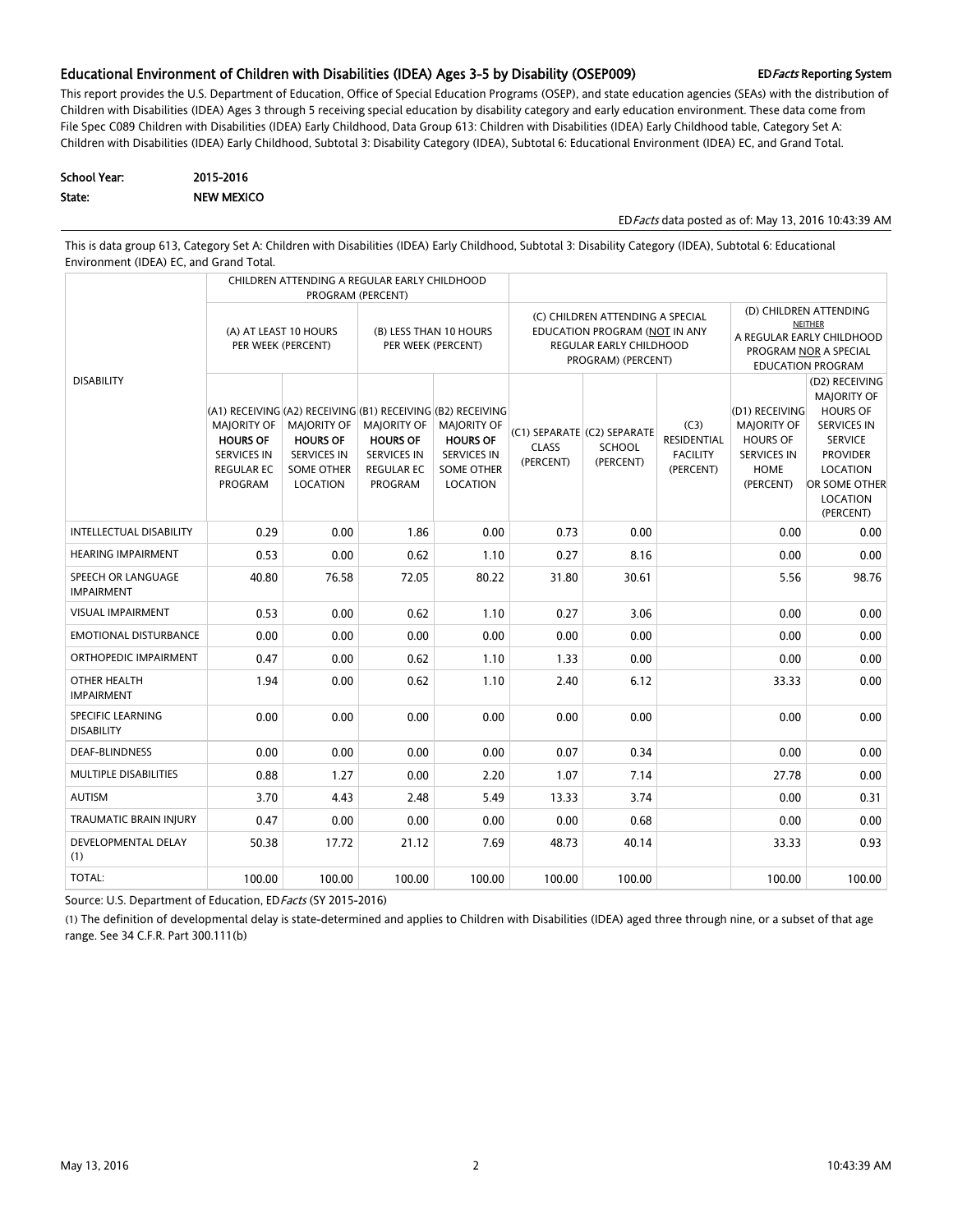#### Educational Environment of Children with Disabilities (IDEA) Ages 3-5 by Disability (OSEP009) EDFacts Reporting System

This report provides the U.S. Department of Education, Office of Special Education Programs (OSEP), and state education agencies (SEAs) with the distribution of Children with Disabilities (IDEA) Ages 3 through 5 receiving special education by disability category and early education environment. These data come from File Spec C089 Children with Disabilities (IDEA) Early Childhood, Data Group 613: Children with Disabilities (IDEA) Early Childhood table, Category Set A: Children with Disabilities (IDEA) Early Childhood, Subtotal 3: Disability Category (IDEA), Subtotal 6: Educational Environment (IDEA) EC, and Grand Total.

| School Year: | 2015-2016         |
|--------------|-------------------|
| State:       | <b>NEW MEXICO</b> |

EDFacts data posted as of: May 13, 2016 10:43:39 AM

This is data group 613, Category Set A: Children with Disabilities (IDEA) Early Childhood, Subtotal 3: Disability Category (IDEA), Subtotal 6: Educational Environment (IDEA) EC, and Grand Total.

|                                         |                                                                                             | CHILDREN ATTENDING A REGULAR EARLY CHILDHOOD                                                                                                         | PROGRAM (PERCENT)                                                                           |                                                                                              |                                                                                                                    |                                                           |                                                     |                                                                                                                            |                                                                                                                                                                                 |  |
|-----------------------------------------|---------------------------------------------------------------------------------------------|------------------------------------------------------------------------------------------------------------------------------------------------------|---------------------------------------------------------------------------------------------|----------------------------------------------------------------------------------------------|--------------------------------------------------------------------------------------------------------------------|-----------------------------------------------------------|-----------------------------------------------------|----------------------------------------------------------------------------------------------------------------------------|---------------------------------------------------------------------------------------------------------------------------------------------------------------------------------|--|
|                                         | (A) AT LEAST 10 HOURS<br>PER WEEK (PERCENT)                                                 |                                                                                                                                                      | (B) LESS THAN 10 HOURS<br>PER WEEK (PERCENT)                                                |                                                                                              | (C) CHILDREN ATTENDING A SPECIAL<br>EDUCATION PROGRAM (NOT IN ANY<br>REGULAR EARLY CHILDHOOD<br>PROGRAM) (PERCENT) |                                                           |                                                     | (D) CHILDREN ATTENDING<br><b>NEITHER</b><br>A REGULAR EARLY CHILDHOOD<br>PROGRAM NOR A SPECIAL<br><b>EDUCATION PROGRAM</b> |                                                                                                                                                                                 |  |
| <b>DISABILITY</b>                       | MAJORITY OF<br><b>HOURS OF</b><br><b>SERVICES IN</b><br><b>REGULAR EC</b><br><b>PROGRAM</b> | (A1) RECEIVING (A2) RECEIVING (B1) RECEIVING (B2) RECEIVING<br>MAJORITY OF<br><b>HOURS OF</b><br><b>SERVICES IN</b><br><b>SOME OTHER</b><br>LOCATION | MAJORITY OF<br><b>HOURS OF</b><br><b>SERVICES IN</b><br><b>REGULAR EC</b><br><b>PROGRAM</b> | <b>MAJORITY OF</b><br><b>HOURS OF</b><br><b>SERVICES IN</b><br><b>SOME OTHER</b><br>LOCATION | <b>CLASS</b><br>(PERCENT)                                                                                          | (C1) SEPARATE (C2) SEPARATE<br><b>SCHOOL</b><br>(PERCENT) | (C3)<br>RESIDENTIAL<br><b>FACILITY</b><br>(PERCENT) | (D1) RECEIVING<br><b>MAJORITY OF</b><br><b>HOURS OF</b><br><b>SERVICES IN</b><br>HOME<br>(PERCENT)                         | (D2) RECEIVING<br><b>MAJORITY OF</b><br><b>HOURS OF</b><br><b>SERVICES IN</b><br><b>SERVICE</b><br><b>PROVIDER</b><br>LOCATION<br>OR SOME OTHER<br><b>LOCATION</b><br>(PERCENT) |  |
| <b>INTELLECTUAL DISABILITY</b>          | 0.29                                                                                        | 0.00                                                                                                                                                 | 1.86                                                                                        | 0.00                                                                                         | 0.73                                                                                                               | 0.00                                                      |                                                     | 0.00                                                                                                                       | 0.00                                                                                                                                                                            |  |
| <b>HEARING IMPAIRMENT</b>               | 0.53                                                                                        | 0.00                                                                                                                                                 | 0.62                                                                                        | 1.10                                                                                         | 0.27                                                                                                               | 8.16                                                      |                                                     | 0.00                                                                                                                       | 0.00                                                                                                                                                                            |  |
| SPEECH OR LANGUAGE<br><b>IMPAIRMENT</b> | 40.80                                                                                       | 76.58                                                                                                                                                | 72.05                                                                                       | 80.22                                                                                        | 31.80                                                                                                              | 30.61                                                     |                                                     | 5.56                                                                                                                       | 98.76                                                                                                                                                                           |  |
| <b>VISUAL IMPAIRMENT</b>                | 0.53                                                                                        | 0.00                                                                                                                                                 | 0.62                                                                                        | 1.10                                                                                         | 0.27                                                                                                               | 3.06                                                      |                                                     | 0.00                                                                                                                       | 0.00                                                                                                                                                                            |  |
| <b>EMOTIONAL DISTURBANCE</b>            | 0.00                                                                                        | 0.00                                                                                                                                                 | 0.00                                                                                        | 0.00                                                                                         | 0.00                                                                                                               | 0.00                                                      |                                                     | 0.00                                                                                                                       | 0.00                                                                                                                                                                            |  |
| ORTHOPEDIC IMPAIRMENT                   | 0.47                                                                                        | 0.00                                                                                                                                                 | 0.62                                                                                        | 1.10                                                                                         | 1.33                                                                                                               | 0.00                                                      |                                                     | 0.00                                                                                                                       | 0.00                                                                                                                                                                            |  |
| OTHER HEALTH<br><b>IMPAIRMENT</b>       | 1.94                                                                                        | 0.00                                                                                                                                                 | 0.62                                                                                        | 1.10                                                                                         | 2.40                                                                                                               | 6.12                                                      |                                                     | 33.33                                                                                                                      | 0.00                                                                                                                                                                            |  |
| SPECIFIC LEARNING<br><b>DISABILITY</b>  | 0.00                                                                                        | 0.00                                                                                                                                                 | 0.00                                                                                        | 0.00                                                                                         | 0.00                                                                                                               | 0.00                                                      |                                                     | 0.00                                                                                                                       | 0.00                                                                                                                                                                            |  |
| <b>DEAF-BLINDNESS</b>                   | 0.00                                                                                        | 0.00                                                                                                                                                 | 0.00                                                                                        | 0.00                                                                                         | 0.07                                                                                                               | 0.34                                                      |                                                     | 0.00                                                                                                                       | 0.00                                                                                                                                                                            |  |
| MULTIPLE DISABILITIES                   | 0.88                                                                                        | 1.27                                                                                                                                                 | 0.00                                                                                        | 2.20                                                                                         | 1.07                                                                                                               | 7.14                                                      |                                                     | 27.78                                                                                                                      | 0.00                                                                                                                                                                            |  |
| <b>AUTISM</b>                           | 3.70                                                                                        | 4.43                                                                                                                                                 | 2.48                                                                                        | 5.49                                                                                         | 13.33                                                                                                              | 3.74                                                      |                                                     | 0.00                                                                                                                       | 0.31                                                                                                                                                                            |  |
| <b>TRAUMATIC BRAIN INJURY</b>           | 0.47                                                                                        | 0.00                                                                                                                                                 | 0.00                                                                                        | 0.00                                                                                         | 0.00                                                                                                               | 0.68                                                      |                                                     | 0.00                                                                                                                       | 0.00                                                                                                                                                                            |  |
| <b>DEVELOPMENTAL DELAY</b><br>(1)       | 50.38                                                                                       | 17.72                                                                                                                                                | 21.12                                                                                       | 7.69                                                                                         | 48.73                                                                                                              | 40.14                                                     |                                                     | 33.33                                                                                                                      | 0.93                                                                                                                                                                            |  |
| TOTAL:                                  | 100.00                                                                                      | 100.00                                                                                                                                               | 100.00                                                                                      | 100.00                                                                                       | 100.00                                                                                                             | 100.00                                                    |                                                     | 100.00                                                                                                                     | 100.00                                                                                                                                                                          |  |

Source: U.S. Department of Education, ED Facts (SY 2015-2016)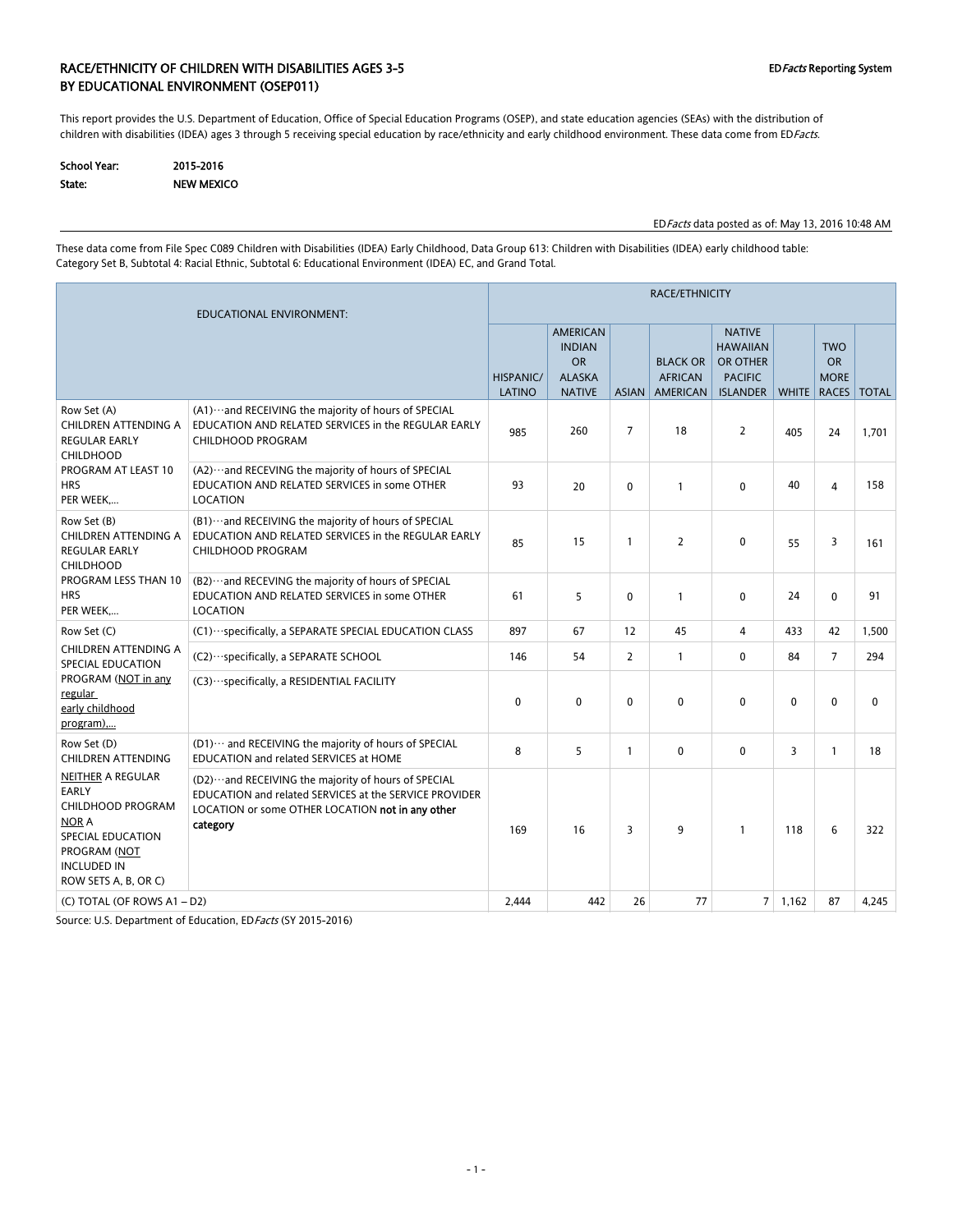### RACE/ETHNICITY OF CHILDREN WITH DISABILITIES AGES 3-5 CHILDREY ASSESS AND REPORT OF CHILDREY System BY EDUCATIONAL ENVIRONMENT (OSEP011)

This report provides the U.S. Department of Education, Office of Special Education Programs (OSEP), and state education agencies (SEAs) with the distribution of children with disabilities (IDEA) ages 3 through 5 receiving special education by race/ethnicity and early childhood environment. These data come from EDFacts.

| School Year: | 2015-2016         |
|--------------|-------------------|
| State:       | <b>NEW MEXICO</b> |

EDFacts data posted as of: May 13, 2016 10:48 AM

These data come from File Spec C089 Children with Disabilities (IDEA) Early Childhood, Data Group 613: Children with Disabilities (IDEA) early childhood table: Category Set B, Subtotal 4: Racial Ethnic, Subtotal 6: Educational Environment (IDEA) EC, and Grand Total.

| EDUCATIONAL ENVIRONMENT:                                                                                                                                                |                                                                                                                                                                                |                            | <b>RACE/ETHNICITY</b>                                                           |                |                                                      |                                                                                   |                |                                                 |              |  |  |
|-------------------------------------------------------------------------------------------------------------------------------------------------------------------------|--------------------------------------------------------------------------------------------------------------------------------------------------------------------------------|----------------------------|---------------------------------------------------------------------------------|----------------|------------------------------------------------------|-----------------------------------------------------------------------------------|----------------|-------------------------------------------------|--------------|--|--|
|                                                                                                                                                                         |                                                                                                                                                                                | <b>HISPANIC/</b><br>LATINO | <b>AMERICAN</b><br><b>INDIAN</b><br><b>OR</b><br><b>ALASKA</b><br><b>NATIVE</b> | <b>ASIAN</b>   | <b>BLACK OR</b><br><b>AFRICAN</b><br><b>AMERICAN</b> | <b>NATIVE</b><br><b>HAWAIIAN</b><br>OR OTHER<br><b>PACIFIC</b><br><b>ISLANDER</b> | <b>WHITE</b>   | <b>TWO</b><br><b>OR</b><br><b>MORE</b><br>RACES | <b>TOTAL</b> |  |  |
| Row Set (A)<br>CHILDREN ATTENDING A<br><b>REGULAR EARLY</b><br><b>CHILDHOOD</b>                                                                                         | (A1) ··· and RECEIVING the majority of hours of SPECIAL<br>EDUCATION AND RELATED SERVICES in the REGULAR EARLY<br><b>CHILDHOOD PROGRAM</b>                                     | 985                        | 260                                                                             | $\overline{7}$ | 18                                                   | $\overline{2}$                                                                    | 405            | 24                                              | 1,701        |  |  |
| PROGRAM AT LEAST 10<br><b>HRS</b><br>PER WEEK                                                                                                                           | (A2) ··· and RECEVING the majority of hours of SPECIAL<br>EDUCATION AND RELATED SERVICES in some OTHER<br><b>LOCATION</b>                                                      | 93                         | 20                                                                              | $\Omega$       | $\mathbf{1}$                                         | $\mathbf{0}$                                                                      | 40             | 4                                               | 158          |  |  |
| Row Set (B)<br>CHILDREN ATTENDING A<br><b>REGULAR EARLY</b><br><b>CHILDHOOD</b><br>PROGRAM LESS THAN 10<br><b>HRS</b><br>PER WEEK                                       | (B1) ··· and RECEIVING the majority of hours of SPECIAL<br>EDUCATION AND RELATED SERVICES in the REGULAR EARLY<br><b>CHILDHOOD PROGRAM</b>                                     | 85                         | 15                                                                              | $\mathbf{1}$   | $\overline{2}$                                       | $\mathbf{0}$                                                                      | 55             | 3                                               | 161          |  |  |
|                                                                                                                                                                         | (B2) ··· and RECEVING the majority of hours of SPECIAL<br>EDUCATION AND RELATED SERVICES in some OTHER<br><b>LOCATION</b>                                                      | 61                         | 5                                                                               | $\mathbf{0}$   | $\mathbf{1}$                                         | $\mathbf{0}$                                                                      | 24             | $\Omega$                                        | 91           |  |  |
| Row Set (C)                                                                                                                                                             | (C1) ··· specifically, a SEPARATE SPECIAL EDUCATION CLASS                                                                                                                      | 897                        | 67                                                                              | 12             | 45                                                   | 4                                                                                 | 433            | 42                                              | 1,500        |  |  |
| CHILDREN ATTENDING A<br>SPECIAL EDUCATION                                                                                                                               | (C2) ··· specifically, a SEPARATE SCHOOL                                                                                                                                       | 146                        | 54                                                                              | $\overline{2}$ | $\mathbf{1}$                                         | $\mathbf{0}$                                                                      | 84             | $\overline{7}$                                  | 294          |  |  |
| PROGRAM (NOT in any<br>regular<br>early childhood<br>program),                                                                                                          | (C3) ··· specifically, a RESIDENTIAL FACILITY                                                                                                                                  | 0                          | $\mathbf 0$                                                                     | $\mathbf 0$    | $\mathbf 0$                                          | $\mathbf 0$                                                                       | $\Omega$       | $\Omega$                                        | $\mathbf 0$  |  |  |
| Row Set (D)<br><b>CHILDREN ATTENDING</b>                                                                                                                                | (D1) ··· and RECEIVING the majority of hours of SPECIAL<br>EDUCATION and related SERVICES at HOME                                                                              | 8                          | 5                                                                               | $\mathbf{1}$   | $\mathbf 0$                                          | $\mathbf 0$                                                                       | 3              | $\mathbf{1}$                                    | 18           |  |  |
| <b>NEITHER A REGULAR</b><br><b>EARLY</b><br><b>CHILDHOOD PROGRAM</b><br><b>NOR A</b><br>SPECIAL EDUCATION<br>PROGRAM (NOT<br><b>INCLUDED IN</b><br>ROW SETS A, B, OR C) | (D2)  and RECEIVING the majority of hours of SPECIAL<br>EDUCATION and related SERVICES at the SERVICE PROVIDER<br>LOCATION or some OTHER LOCATION not in any other<br>category | 169                        | 16                                                                              | 3              | 9                                                    | $\mathbf{1}$                                                                      | 118            | 6                                               | 322          |  |  |
| (C) TOTAL (OF ROWS A1 - D2)                                                                                                                                             |                                                                                                                                                                                | 2,444                      | 442                                                                             | 26             | 77                                                   |                                                                                   | $7 \mid 1,162$ | 87                                              | 4,245        |  |  |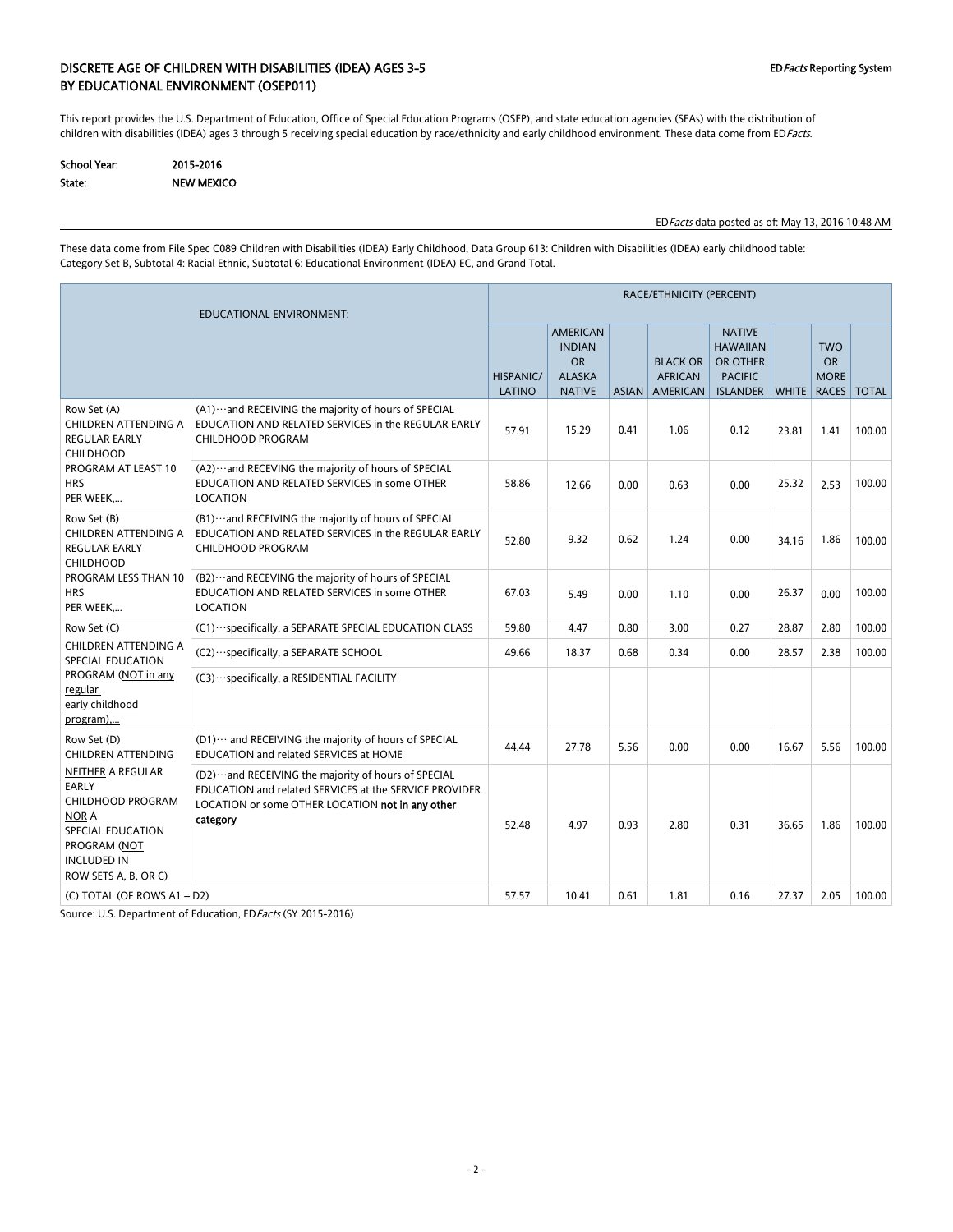### DISCRETE AGE OF CHILDREN WITH DISABILITIES (IDEA) AGES 3-5 EDFacts Reporting System BY EDUCATIONAL ENVIRONMENT (OSEP011)

This report provides the U.S. Department of Education, Office of Special Education Programs (OSEP), and state education agencies (SEAs) with the distribution of children with disabilities (IDEA) ages 3 through 5 receiving special education by race/ethnicity and early childhood environment. These data come from EDFacts.

| School Year: | 2015-2016  |
|--------------|------------|
| State:       | NEW MEXICO |

EDFacts data posted as of: May 13, 2016 10:48 AM

These data come from File Spec C089 Children with Disabilities (IDEA) Early Childhood, Data Group 613: Children with Disabilities (IDEA) early childhood table: Category Set B, Subtotal 4: Racial Ethnic, Subtotal 6: Educational Environment (IDEA) EC, and Grand Total.

|                                                                                                                                                                         | RACE/ETHNICITY (PERCENT)                                                                                                                                                          |                     |                                                                                 |      |                                                     |                                                                                   |       |                                                       |              |  |
|-------------------------------------------------------------------------------------------------------------------------------------------------------------------------|-----------------------------------------------------------------------------------------------------------------------------------------------------------------------------------|---------------------|---------------------------------------------------------------------------------|------|-----------------------------------------------------|-----------------------------------------------------------------------------------|-------|-------------------------------------------------------|--------------|--|
|                                                                                                                                                                         |                                                                                                                                                                                   | HISPANIC/<br>LATINO | <b>AMERICAN</b><br><b>INDIAN</b><br><b>OR</b><br><b>ALASKA</b><br><b>NATIVE</b> |      | <b>BLACK OR</b><br><b>AFRICAN</b><br>ASIAN AMERICAN | <b>NATIVE</b><br><b>HAWAIIAN</b><br>OR OTHER<br><b>PACIFIC</b><br><b>ISLANDER</b> |       | <b>TWO</b><br><b>OR</b><br><b>MORE</b><br>WHITE RACES | <b>TOTAL</b> |  |
| Row Set (A)<br>CHILDREN ATTENDING A<br><b>REGULAR EARLY</b><br><b>CHILDHOOD</b><br>PROGRAM AT LEAST 10<br><b>HRS</b><br>PER WEEK                                        | (A1) ··· and RECEIVING the majority of hours of SPECIAL<br>EDUCATION AND RELATED SERVICES in the REGULAR EARLY<br><b>CHILDHOOD PROGRAM</b>                                        | 57.91               | 15.29                                                                           | 0.41 | 1.06                                                | 0.12                                                                              | 23.81 | 1.41                                                  | 100.00       |  |
|                                                                                                                                                                         | (A2) ··· and RECEVING the majority of hours of SPECIAL<br>EDUCATION AND RELATED SERVICES in some OTHER<br>LOCATION                                                                | 58.86               | 12.66                                                                           | 0.00 | 0.63                                                | 0.00                                                                              | 25.32 | 2.53                                                  | 100.00       |  |
| Row Set (B)<br><b>CHILDREN ATTENDING A</b><br><b>REGULAR EARLY</b><br><b>CHILDHOOD</b><br><b>PROGRAM LESS THAN 10</b><br><b>HRS</b><br>PER WEEK                         | (B1) ··· and RECEIVING the majority of hours of SPECIAL<br>EDUCATION AND RELATED SERVICES in the REGULAR EARLY<br><b>CHILDHOOD PROGRAM</b>                                        | 52.80               | 9.32                                                                            | 0.62 | 1.24                                                | 0.00                                                                              | 34.16 | 1.86                                                  | 100.00       |  |
|                                                                                                                                                                         | (B2) ··· and RECEVING the majority of hours of SPECIAL<br>EDUCATION AND RELATED SERVICES in some OTHER<br>LOCATION                                                                | 67.03               | 5.49                                                                            | 0.00 | 1.10                                                | 0.00                                                                              | 26.37 | 0.00                                                  | 100.00       |  |
| Row Set (C)                                                                                                                                                             | (C1) ··· specifically, a SEPARATE SPECIAL EDUCATION CLASS                                                                                                                         | 59.80               | 4.47                                                                            | 0.80 | 3.00                                                | 0.27                                                                              | 28.87 | 2.80                                                  | 100.00       |  |
| CHILDREN ATTENDING A<br>SPECIAL EDUCATION                                                                                                                               | (C2) · · · specifically, a SEPARATE SCHOOL                                                                                                                                        | 49.66               | 18.37                                                                           | 0.68 | 0.34                                                | 0.00                                                                              | 28.57 | 2.38                                                  | 100.00       |  |
| PROGRAM (NOT in any<br>regular<br>early childhood<br>program),                                                                                                          | (C3) ··· specifically, a RESIDENTIAL FACILITY                                                                                                                                     |                     |                                                                                 |      |                                                     |                                                                                   |       |                                                       |              |  |
| Row Set (D)<br>CHILDREN ATTENDING                                                                                                                                       | (D1) ··· and RECEIVING the majority of hours of SPECIAL<br>EDUCATION and related SERVICES at HOME                                                                                 | 44.44               | 27.78                                                                           | 5.56 | 0.00                                                | 0.00                                                                              | 16.67 | 5.56                                                  | 100.00       |  |
| <b>NEITHER A REGULAR</b><br><b>EARLY</b><br><b>CHILDHOOD PROGRAM</b><br><b>NOR A</b><br>SPECIAL EDUCATION<br>PROGRAM (NOT<br><b>INCLUDED IN</b><br>ROW SETS A, B, OR C) | (D2) ··· and RECEIVING the majority of hours of SPECIAL<br>EDUCATION and related SERVICES at the SERVICE PROVIDER<br>LOCATION or some OTHER LOCATION not in any other<br>category | 52.48               | 4.97                                                                            | 0.93 | 2.80                                                | 0.31                                                                              | 36.65 | 1.86                                                  | 100.00       |  |
| (C) TOTAL (OF ROWS A1 - D2)                                                                                                                                             |                                                                                                                                                                                   | 57.57               | 10.41                                                                           | 0.61 | 1.81                                                | 0.16                                                                              | 27.37 | 2.05                                                  | 100.00       |  |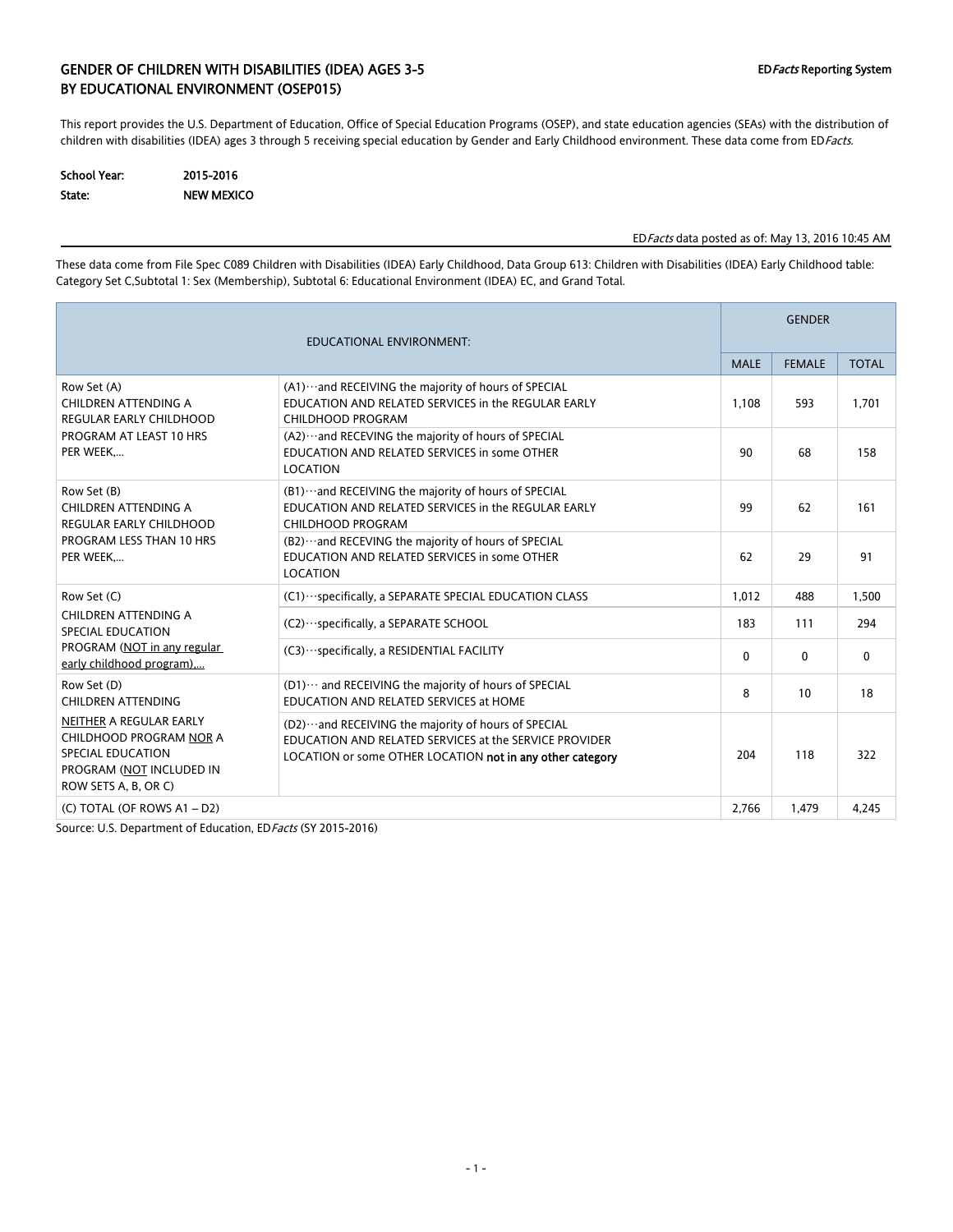### GENDER OF CHILDREN WITH DISABILITIES (IDEA) AGES 3-5 EDFacts Reporting System BY EDUCATIONAL ENVIRONMENT (OSEP015)

This report provides the U.S. Department of Education, Office of Special Education Programs (OSEP), and state education agencies (SEAs) with the distribution of children with disabilities (IDEA) ages 3 through 5 receiving special education by Gender and Early Childhood environment. These data come from EDFacts.

| <b>School Year:</b> | 2015-2016         |
|---------------------|-------------------|
| State:              | <b>NEW MEXICO</b> |

#### EDFacts data posted as of: May 13, 2016 10:45 AM

These data come from File Spec C089 Children with Disabilities (IDEA) Early Childhood, Data Group 613: Children with Disabilities (IDEA) Early Childhood table: Category Set C,Subtotal 1: Sex (Membership), Subtotal 6: Educational Environment (IDEA) EC, and Grand Total.

| <b>EDUCATIONAL ENVIRONMENT:</b>                                                                                             |                                                                                                                                                                                |              |               | <b>GENDER</b> |  |  |  |
|-----------------------------------------------------------------------------------------------------------------------------|--------------------------------------------------------------------------------------------------------------------------------------------------------------------------------|--------------|---------------|---------------|--|--|--|
|                                                                                                                             |                                                                                                                                                                                | <b>MALE</b>  | <b>FEMALE</b> | <b>TOTAL</b>  |  |  |  |
| Row Set (A)<br>CHILDREN ATTENDING A<br><b>REGULAR EARLY CHILDHOOD</b>                                                       | (A1) ··· and RECEIVING the majority of hours of SPECIAL<br>EDUCATION AND RELATED SERVICES in the REGULAR EARLY<br><b>CHILDHOOD PROGRAM</b>                                     | 1.108        | 593           | 1.701         |  |  |  |
| PROGRAM AT LEAST 10 HRS<br>PER WEEK                                                                                         | (A2)  and RECEVING the majority of hours of SPECIAL<br>EDUCATION AND RELATED SERVICES in some OTHER<br>LOCATION                                                                | 90           | 68            | 158           |  |  |  |
| Row Set (B)<br><b>CHILDREN ATTENDING A</b><br><b>REGULAR EARLY CHILDHOOD</b>                                                | (B1) ··· and RECEIVING the majority of hours of SPECIAL<br>EDUCATION AND RELATED SERVICES in the REGULAR EARLY<br>CHILDHOOD PROGRAM                                            | 99           | 62            | 161           |  |  |  |
| PROGRAM LESS THAN 10 HRS<br>PER WEEK                                                                                        | (B2) ··· and RECEVING the majority of hours of SPECIAL<br>EDUCATION AND RELATED SERVICES in some OTHER<br><b>LOCATION</b>                                                      | 62           | 29            | 91            |  |  |  |
| Row Set (C)                                                                                                                 | (C1) ··· specifically, a SEPARATE SPECIAL EDUCATION CLASS                                                                                                                      | 1,012        | 488           | 1,500         |  |  |  |
| CHILDREN ATTENDING A<br><b>SPECIAL EDUCATION</b>                                                                            | (C2) · · · specifically, a SEPARATE SCHOOL                                                                                                                                     | 183          | 111           | 294           |  |  |  |
| PROGRAM (NOT in any regular<br>early childhood program)                                                                     | (C3) ··· specifically, a RESIDENTIAL FACILITY                                                                                                                                  | $\mathbf{0}$ | $\mathbf{0}$  | $\mathbf{0}$  |  |  |  |
| Row Set (D)<br>CHILDREN ATTENDING                                                                                           | (D1)  and RECEIVING the majority of hours of SPECIAL<br>EDUCATION AND RELATED SERVICES at HOME                                                                                 | 8            | 10            | 18            |  |  |  |
| NEITHER A REGULAR EARLY<br>CHILDHOOD PROGRAM NOR A<br>SPECIAL EDUCATION<br>PROGRAM (NOT INCLUDED IN<br>ROW SETS A, B, OR C) | (D2) ··· and RECEIVING the majority of hours of SPECIAL<br>EDUCATION AND RELATED SERVICES at the SERVICE PROVIDER<br>LOCATION or some OTHER LOCATION not in any other category | 204          | 118           | 322           |  |  |  |
| (C) TOTAL (OF ROWS A1 - D2)                                                                                                 |                                                                                                                                                                                | 2,766        | 1,479         | 4,245         |  |  |  |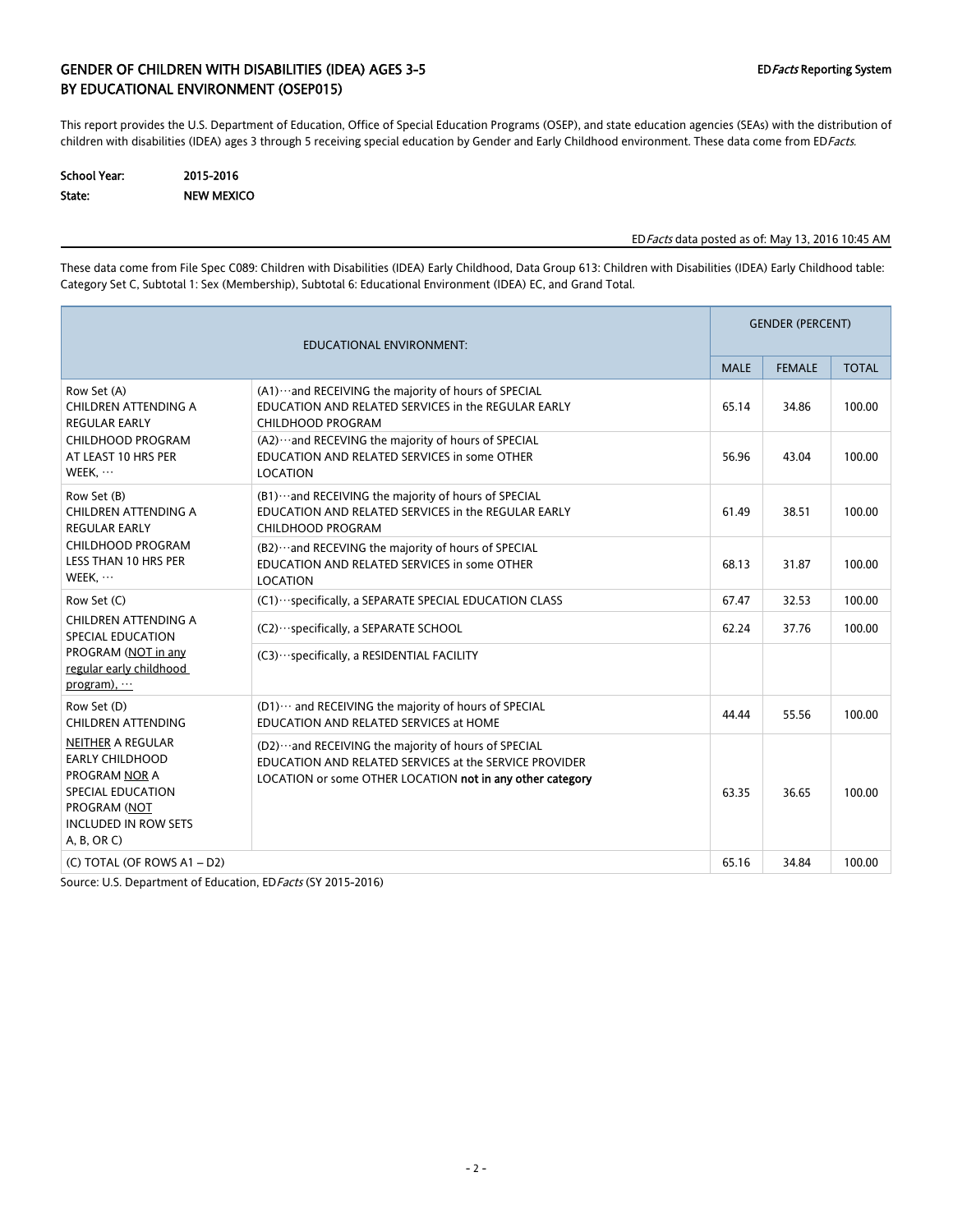### GENDER OF CHILDREN WITH DISABILITIES (IDEA) AGES 3-5 EDFacts Reporting System BY EDUCATIONAL ENVIRONMENT (OSEP015)

This report provides the U.S. Department of Education, Office of Special Education Programs (OSEP), and state education agencies (SEAs) with the distribution of children with disabilities (IDEA) ages 3 through 5 receiving special education by Gender and Early Childhood environment. These data come from EDFacts.

| School Year: | 2015-2016         |
|--------------|-------------------|
| State:       | <b>NEW MEXICO</b> |

### EDFacts data posted as of: May 13, 2016 10:45 AM

These data come from File Spec C089: Children with Disabilities (IDEA) Early Childhood, Data Group 613: Children with Disabilities (IDEA) Early Childhood table: Category Set C, Subtotal 1: Sex (Membership), Subtotal 6: Educational Environment (IDEA) EC, and Grand Total.

| <b>EDUCATIONAL ENVIRONMENT:</b>                                                                                                                               |                                                                                                                                                                                | <b>GENDER (PERCENT)</b> |               |              |  |
|---------------------------------------------------------------------------------------------------------------------------------------------------------------|--------------------------------------------------------------------------------------------------------------------------------------------------------------------------------|-------------------------|---------------|--------------|--|
|                                                                                                                                                               |                                                                                                                                                                                | <b>MALE</b>             | <b>FEMALE</b> | <b>TOTAL</b> |  |
| Row Set (A)<br>CHILDREN ATTENDING A<br><b>REGULAR EARLY</b>                                                                                                   | (A1) ··· and RECEIVING the majority of hours of SPECIAL<br>EDUCATION AND RELATED SERVICES in the REGULAR EARLY<br>CHILDHOOD PROGRAM                                            | 65.14                   | 34.86         | 100.00       |  |
| CHILDHOOD PROGRAM<br>AT LEAST 10 HRS PER<br>WEEK,                                                                                                             | (A2) ··· and RECEVING the majority of hours of SPECIAL<br>EDUCATION AND RELATED SERVICES in some OTHER<br>LOCATION                                                             | 56.96                   | 43.04         | 100.00       |  |
| Row Set (B)<br>CHILDREN ATTENDING A<br><b>REGULAR EARLY</b>                                                                                                   | (B1)  and RECEIVING the majority of hours of SPECIAL<br>EDUCATION AND RELATED SERVICES in the REGULAR EARLY<br>CHILDHOOD PROGRAM                                               | 61.49                   | 38.51         | 100.00       |  |
| CHILDHOOD PROGRAM<br>LESS THAN 10 HRS PER<br>WEEK,                                                                                                            | (B2) ··· and RECEVING the majority of hours of SPECIAL<br>EDUCATION AND RELATED SERVICES in some OTHER<br>LOCATION                                                             | 68.13                   | 31.87         | 100.00       |  |
| Row Set (C)                                                                                                                                                   | (C1) ··· specifically, a SEPARATE SPECIAL EDUCATION CLASS                                                                                                                      | 67.47                   | 32.53         | 100.00       |  |
| CHILDREN ATTENDING A<br>SPECIAL EDUCATION                                                                                                                     | (C2) ··· specifically, a SEPARATE SCHOOL                                                                                                                                       | 62.24                   | 37.76         | 100.00       |  |
| PROGRAM (NOT in any<br>regular early childhood<br>program),                                                                                                   | (C3) ··· specifically, a RESIDENTIAL FACILITY                                                                                                                                  |                         |               |              |  |
| Row Set (D)<br><b>CHILDREN ATTENDING</b>                                                                                                                      | (D1)  and RECEIVING the majority of hours of SPECIAL<br>EDUCATION AND RELATED SERVICES at HOME                                                                                 | 44.44                   | 55.56         | 100.00       |  |
| <b>NEITHER A REGULAR</b><br><b>EARLY CHILDHOOD</b><br><b>PROGRAM NOR A</b><br>SPECIAL EDUCATION<br>PROGRAM (NOT<br><b>INCLUDED IN ROW SETS</b><br>A, B, OR C) | (D2) ··· and RECEIVING the majority of hours of SPECIAL<br>EDUCATION AND RELATED SERVICES at the SERVICE PROVIDER<br>LOCATION or some OTHER LOCATION not in any other category | 63.35                   | 36.65         | 100.00       |  |
| (C) TOTAL (OF ROWS A1 - D2)                                                                                                                                   |                                                                                                                                                                                | 65.16                   | 34.84         | 100.00       |  |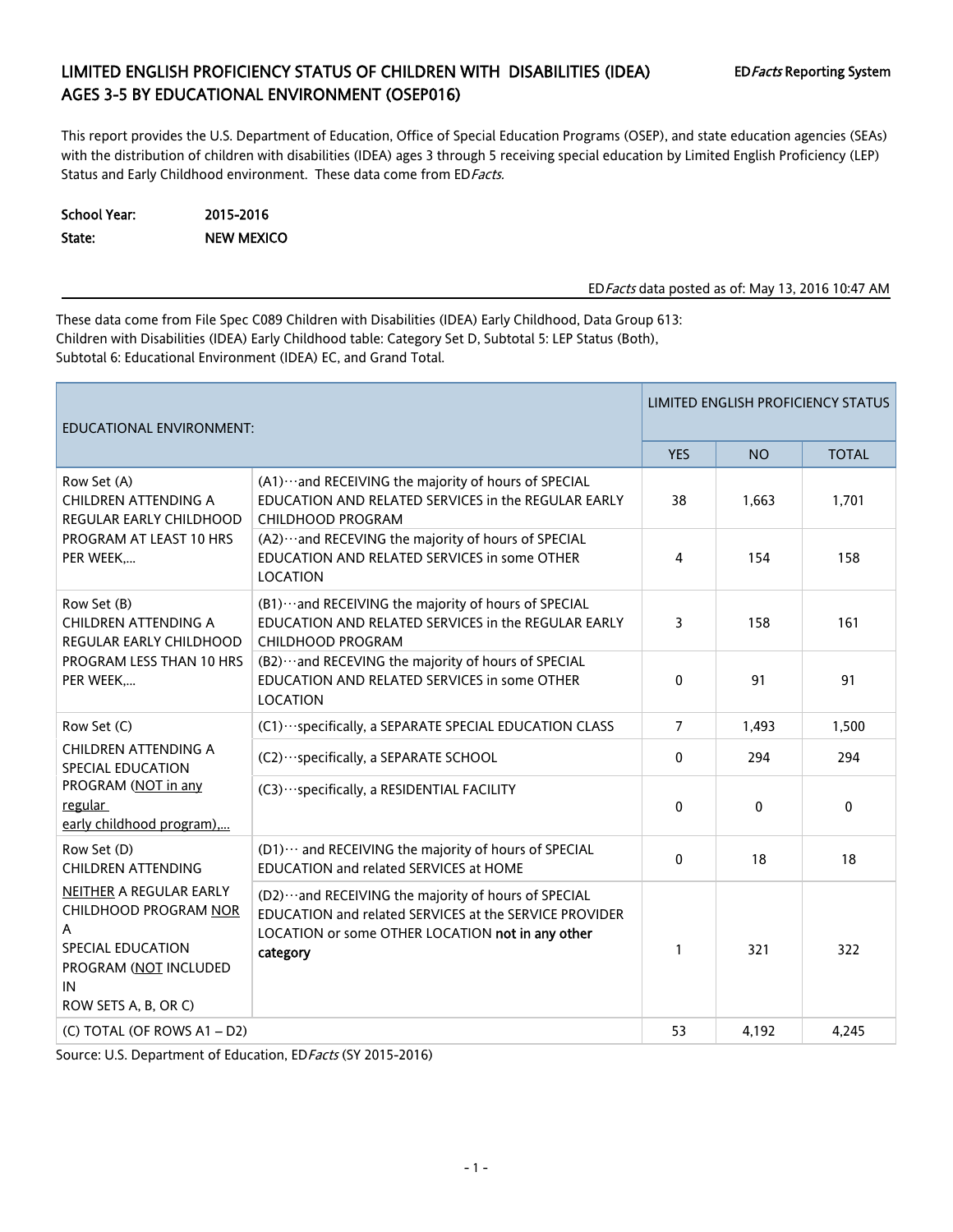# LIMITED ENGLISH PROFICIENCY STATUS OF CHILDREN WITH DISABILITIES (IDEA) EDFacts Reporting System AGES 3-5 BY EDUCATIONAL ENVIRONMENT (OSEP016)

This report provides the U.S. Department of Education, Office of Special Education Programs (OSEP), and state education agencies (SEAs) with the distribution of children with disabilities (IDEA) ages 3 through 5 receiving special education by Limited English Proficiency (LEP) Status and Early Childhood environment. These data come from ED Facts.

School Year: 2015-2016 State: NEW MEXICO

EDFacts data posted as of: May 13, 2016 10:47 AM

These data come from File Spec C089 Children with Disabilities (IDEA) Early Childhood, Data Group 613: Children with Disabilities (IDEA) Early Childhood table: Category Set D, Subtotal 5: LEP Status (Both), Subtotal 6: Educational Environment (IDEA) EC, and Grand Total.

| EDUCATIONAL ENVIRONMENT:                                                                                                          | <b>LIMITED ENGLISH PROFICIENCY STATUS</b>                                                                                                                                         |                |              |              |  |
|-----------------------------------------------------------------------------------------------------------------------------------|-----------------------------------------------------------------------------------------------------------------------------------------------------------------------------------|----------------|--------------|--------------|--|
|                                                                                                                                   |                                                                                                                                                                                   | <b>YES</b>     | <b>NO</b>    | <b>TOTAL</b> |  |
| Row Set (A)<br><b>CHILDREN ATTENDING A</b><br><b>REGULAR EARLY CHILDHOOD</b>                                                      | (A1) ··· and RECEIVING the majority of hours of SPECIAL<br>EDUCATION AND RELATED SERVICES in the REGULAR EARLY<br><b>CHILDHOOD PROGRAM</b>                                        | 38             | 1,663        | 1,701        |  |
| PROGRAM AT LEAST 10 HRS<br>PER WEEK,                                                                                              | (A2) ··· and RECEVING the majority of hours of SPECIAL<br>EDUCATION AND RELATED SERVICES in some OTHER<br>LOCATION                                                                | $\overline{4}$ | 154          | 158          |  |
| Row Set (B)<br><b>CHILDREN ATTENDING A</b><br>REGULAR EARLY CHILDHOOD                                                             | (B1) ··· and RECEIVING the majority of hours of SPECIAL<br>EDUCATION AND RELATED SERVICES in the REGULAR EARLY<br>CHILDHOOD PROGRAM                                               | 3              | 158          | 161          |  |
| PROGRAM LESS THAN 10 HRS<br>PER WEEK,                                                                                             | (B2) ··· and RECEVING the majority of hours of SPECIAL<br>EDUCATION AND RELATED SERVICES in some OTHER<br>LOCATION                                                                | 0              | 91           | 91           |  |
| Row Set (C)                                                                                                                       | (C1) ··· specifically, a SEPARATE SPECIAL EDUCATION CLASS                                                                                                                         | $\overline{7}$ | 1,493        | 1,500        |  |
| CHILDREN ATTENDING A<br>SPECIAL EDUCATION                                                                                         | (C2) ··· specifically, a SEPARATE SCHOOL                                                                                                                                          | 0              | 294          | 294          |  |
| PROGRAM (NOT in any<br>regular<br>early childhood program),                                                                       | (C3) ··· specifically, a RESIDENTIAL FACILITY                                                                                                                                     | $\mathbf{0}$   | $\mathbf{0}$ | $\mathbf 0$  |  |
| Row Set (D)<br><b>CHILDREN ATTENDING</b>                                                                                          | (D1) ··· and RECEIVING the majority of hours of SPECIAL<br>EDUCATION and related SERVICES at HOME                                                                                 | 0              | 18           | 18           |  |
| NEITHER A REGULAR EARLY<br>CHILDHOOD PROGRAM NOR<br>A<br>SPECIAL EDUCATION<br>PROGRAM (NOT INCLUDED<br>IN<br>ROW SETS A, B, OR C) | (D2) ··· and RECEIVING the majority of hours of SPECIAL<br>EDUCATION and related SERVICES at the SERVICE PROVIDER<br>LOCATION or some OTHER LOCATION not in any other<br>category | $\mathbf{1}$   | 321          | 322          |  |
| (C) TOTAL (OF ROWS A1 - D2)                                                                                                       |                                                                                                                                                                                   | 53             | 4,192        | 4,245        |  |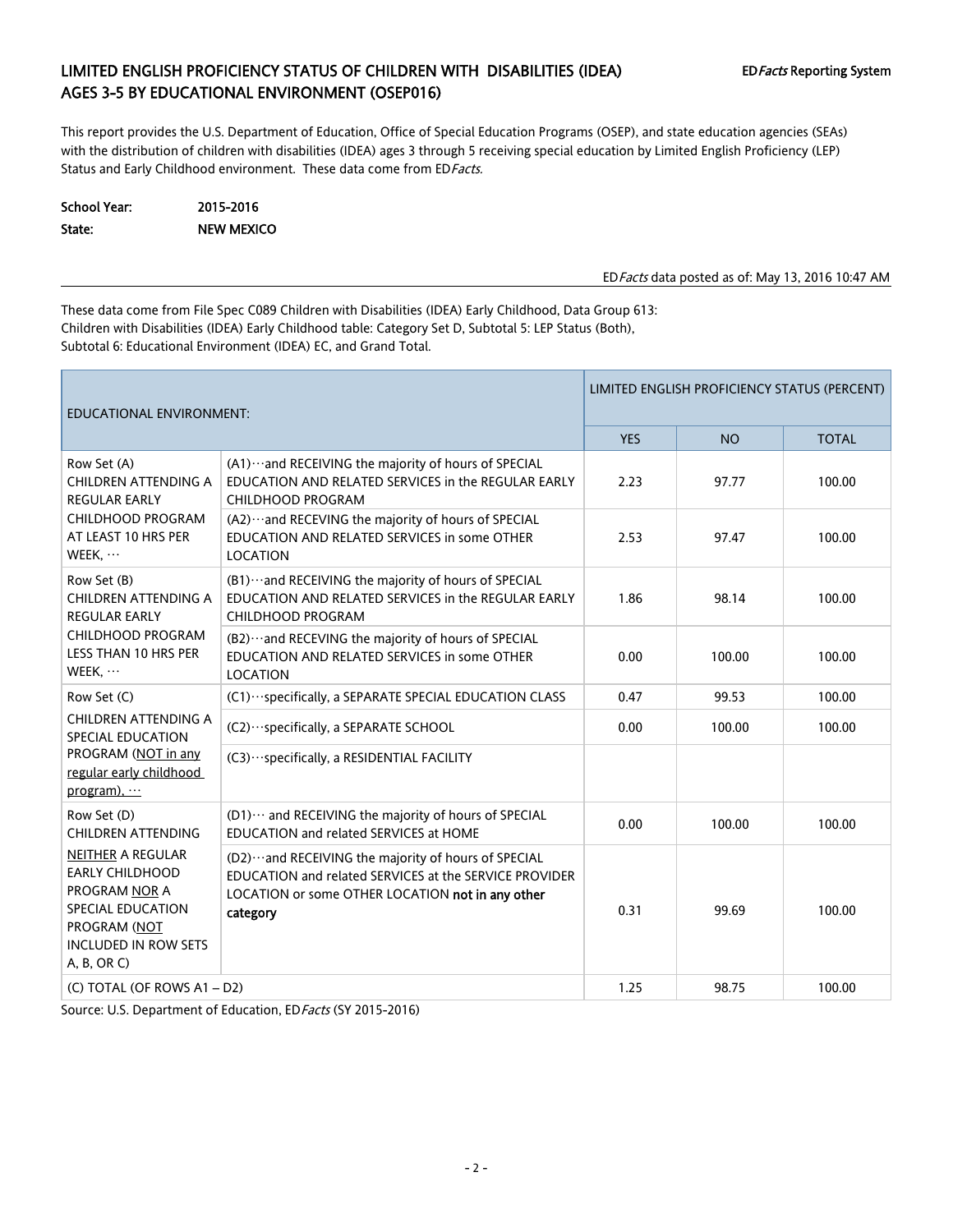# LIMITED ENGLISH PROFICIENCY STATUS OF CHILDREN WITH DISABILITIES (IDEA) EDFacts Reporting System AGES 3-5 BY EDUCATIONAL ENVIRONMENT (OSEP016)

This report provides the U.S. Department of Education, Office of Special Education Programs (OSEP), and state education agencies (SEAs) with the distribution of children with disabilities (IDEA) ages 3 through 5 receiving special education by Limited English Proficiency (LEP) Status and Early Childhood environment. These data come from ED Facts.

School Year: 2015-2016 State: NEW MEXICO

EDFacts data posted as of: May 13, 2016 10:47 AM

These data come from File Spec C089 Children with Disabilities (IDEA) Early Childhood, Data Group 613: Children with Disabilities (IDEA) Early Childhood table: Category Set D, Subtotal 5: LEP Status (Both), Subtotal 6: Educational Environment (IDEA) EC, and Grand Total.

| <b>EDUCATIONAL ENVIRONMENT:</b>                                                                                                                                                                           |                                                                                                                                                                                   | LIMITED ENGLISH PROFICIENCY STATUS (PERCENT) |           |              |  |  |
|-----------------------------------------------------------------------------------------------------------------------------------------------------------------------------------------------------------|-----------------------------------------------------------------------------------------------------------------------------------------------------------------------------------|----------------------------------------------|-----------|--------------|--|--|
|                                                                                                                                                                                                           |                                                                                                                                                                                   | <b>YES</b>                                   | <b>NO</b> | <b>TOTAL</b> |  |  |
| Row Set (A)<br>CHILDREN ATTENDING A<br><b>REGULAR EARLY</b>                                                                                                                                               | (A1) ··· and RECEIVING the majority of hours of SPECIAL<br>EDUCATION AND RELATED SERVICES in the REGULAR EARLY<br>CHILDHOOD PROGRAM                                               | 2.23                                         | 97.77     | 100.00       |  |  |
| CHILDHOOD PROGRAM<br>AT LEAST 10 HRS PER<br>WEEK,<br><b>LOCATION</b>                                                                                                                                      | (A2) ··· and RECEVING the majority of hours of SPECIAL<br>EDUCATION AND RELATED SERVICES in some OTHER                                                                            | 2.53                                         | 97.47     | 100.00       |  |  |
| Row Set (B)<br>(B1) ··· and RECEIVING the majority of hours of SPECIAL<br>EDUCATION AND RELATED SERVICES in the REGULAR EARLY<br>CHILDREN ATTENDING A<br><b>REGULAR EARLY</b><br><b>CHILDHOOD PROGRAM</b> |                                                                                                                                                                                   | 1.86                                         | 98.14     | 100.00       |  |  |
| <b>CHILDHOOD PROGRAM</b><br>LESS THAN 10 HRS PER<br>WEEK, $\cdots$                                                                                                                                        | (B2) ··· and RECEVING the majority of hours of SPECIAL<br>EDUCATION AND RELATED SERVICES in some OTHER<br><b>LOCATION</b>                                                         | 0.00                                         | 100.00    | 100.00       |  |  |
| Row Set (C)                                                                                                                                                                                               | (C1) ··· specifically, a SEPARATE SPECIAL EDUCATION CLASS                                                                                                                         | 0.47                                         | 99.53     | 100.00       |  |  |
| <b>CHILDREN ATTENDING A</b><br>SPECIAL EDUCATION                                                                                                                                                          | (C2) ··· specifically, a SEPARATE SCHOOL                                                                                                                                          | 0.00                                         | 100.00    | 100.00       |  |  |
| PROGRAM (NOT in any<br>regular early childhood<br>program),                                                                                                                                               | (C3) ··· specifically, a RESIDENTIAL FACILITY                                                                                                                                     |                                              |           |              |  |  |
| Row Set (D)<br><b>CHILDREN ATTENDING</b>                                                                                                                                                                  | (D1) ··· and RECEIVING the majority of hours of SPECIAL<br>EDUCATION and related SERVICES at HOME                                                                                 | 0.00                                         | 100.00    | 100.00       |  |  |
| <b>NEITHER A REGULAR</b><br><b>EARLY CHILDHOOD</b><br>PROGRAM NOR A<br>SPECIAL EDUCATION<br>PROGRAM (NOT<br><b>INCLUDED IN ROW SETS</b><br>A, B, OR C)                                                    | (D2) ··· and RECEIVING the majority of hours of SPECIAL<br>EDUCATION and related SERVICES at the SERVICE PROVIDER<br>LOCATION or some OTHER LOCATION not in any other<br>category | 0.31                                         | 99.69     | 100.00       |  |  |
| (C) TOTAL (OF ROWS A1 - D2)                                                                                                                                                                               |                                                                                                                                                                                   | 1.25                                         | 98.75     | 100.00       |  |  |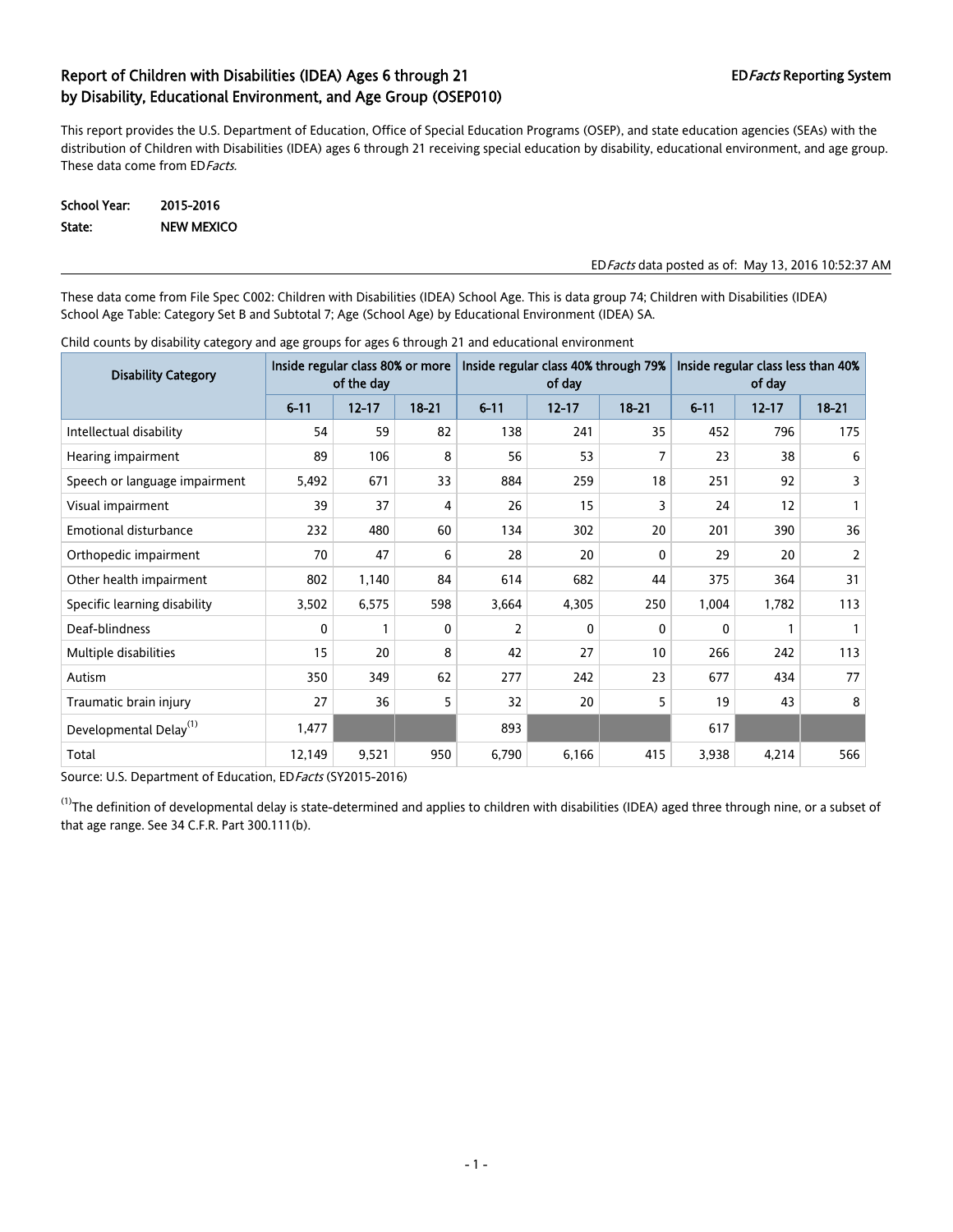This report provides the U.S. Department of Education, Office of Special Education Programs (OSEP), and state education agencies (SEAs) with the distribution of Children with Disabilities (IDEA) ages 6 through 21 receiving special education by disability, educational environment, and age group. These data come from ED Facts.

School Year: 2015-2016 State: NEW MEXICO

#### EDFacts data posted as of: May 13, 2016 10:52:37 AM

These data come from File Spec C002: Children with Disabilities (IDEA) School Age. This is data group 74; Children with Disabilities (IDEA) School Age Table: Category Set B and Subtotal 7; Age (School Age) by Educational Environment (IDEA) SA.

| <b>Disability Category</b>         | Inside regular class 80% or more<br>of the day |              |           |          | Inside regular class 40% through 79%<br>of day |              | Inside regular class less than 40%<br>of day |           |           |
|------------------------------------|------------------------------------------------|--------------|-----------|----------|------------------------------------------------|--------------|----------------------------------------------|-----------|-----------|
|                                    | $6 - 11$                                       | $12 - 17$    | $18 - 21$ | $6 - 11$ | $12 - 17$                                      | $18 - 21$    | $6 - 11$                                     | $12 - 17$ | $18 - 21$ |
| Intellectual disability            | 54                                             | 59           | 82        | 138      | 241                                            | 35           | 452                                          | 796       | 175       |
| Hearing impairment                 | 89                                             | 106          | 8         | 56       | 53                                             |              | 23                                           | 38        | 6         |
| Speech or language impairment      | 5,492                                          | 671          | 33        | 884      | 259                                            | 18           | 251                                          | 92        | 3         |
| Visual impairment                  | 39                                             | 37           | 4         | 26       | 15                                             | 3            | 24                                           | 12        |           |
| <b>Emotional disturbance</b>       | 232                                            | 480          | 60        | 134      | 302                                            | 20           | 201                                          | 390       | 36        |
| Orthopedic impairment              | 70                                             | 47           | 6         | 28       | 20                                             | $\mathbf{0}$ | 29                                           | 20        | 2         |
| Other health impairment            | 802                                            | 1,140        | 84        | 614      | 682                                            | 44           | 375                                          | 364       | 31        |
| Specific learning disability       | 3,502                                          | 6,575        | 598       | 3,664    | 4,305                                          | 250          | 1,004                                        | 1,782     | 113       |
| Deaf-blindness                     | 0                                              | $\mathbf{1}$ | 0         | 2        | 0                                              | 0            | 0                                            |           |           |
| Multiple disabilities              | 15                                             | 20           | 8         | 42       | 27                                             | 10           | 266                                          | 242       | 113       |
| Autism                             | 350                                            | 349          | 62        | 277      | 242                                            | 23           | 677                                          | 434       | 77        |
| Traumatic brain injury             | 27                                             | 36           | 5         | 32       | 20                                             | 5            | 19                                           | 43        | 8         |
| Developmental Delay <sup>(1)</sup> | 1,477                                          |              |           | 893      |                                                |              | 617                                          |           |           |
| Total                              | 12,149                                         | 9,521        | 950       | 6,790    | 6,166                                          | 415          | 3,938                                        | 4,214     | 566       |

Child counts by disability category and age groups for ages 6 through 21 and educational environment

Source: U.S. Department of Education, ED Facts (SY2015-2016)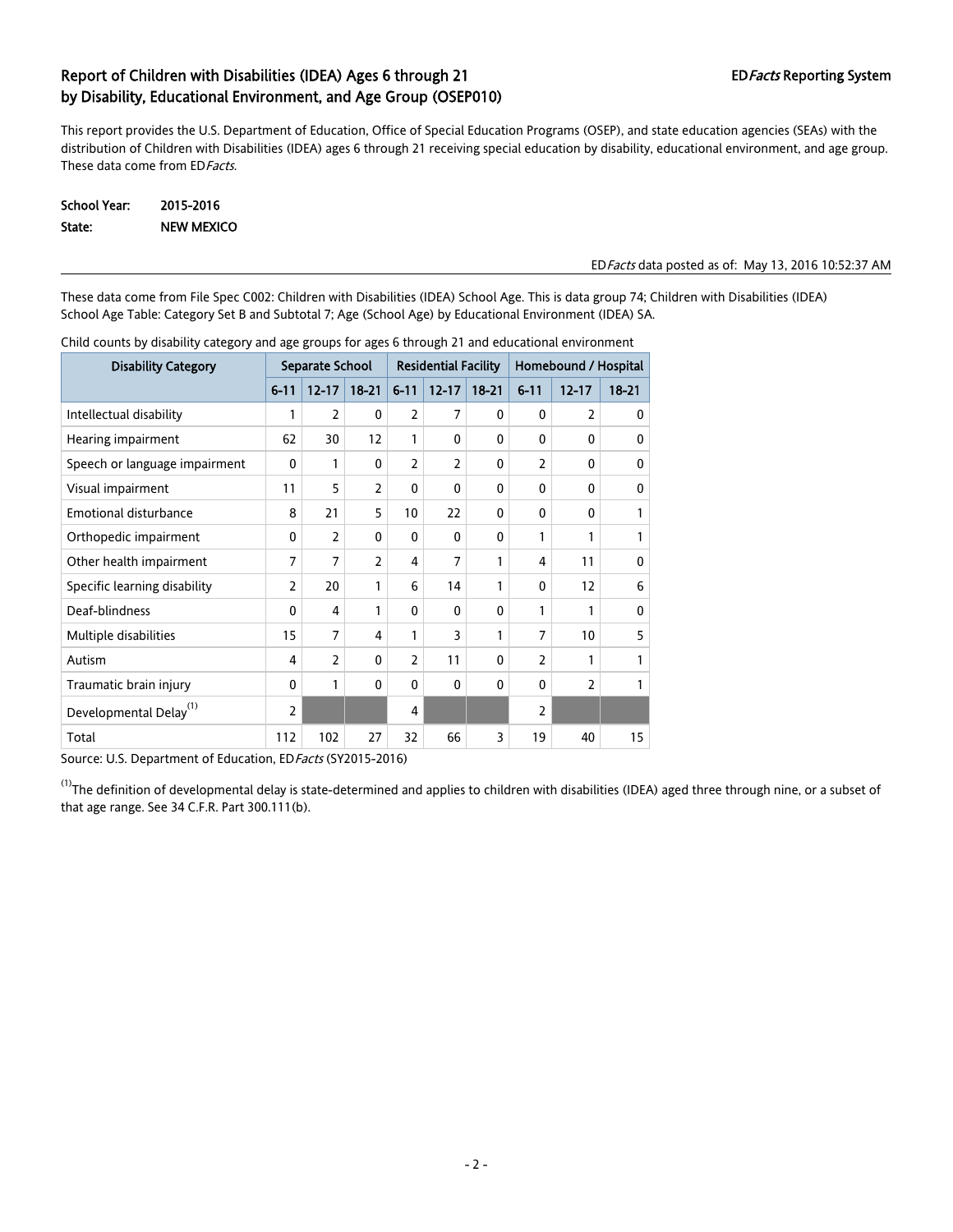This report provides the U.S. Department of Education, Office of Special Education Programs (OSEP), and state education agencies (SEAs) with the distribution of Children with Disabilities (IDEA) ages 6 through 21 receiving special education by disability, educational environment, and age group. These data come from ED Facts.

| School Year: | 2015-2016         |
|--------------|-------------------|
| State:       | <b>NEW MEXICO</b> |

### EDFacts data posted as of: May 13, 2016 10:52:37 AM

These data come from File Spec C002: Children with Disabilities (IDEA) School Age. This is data group 74; Children with Disabilities (IDEA) School Age Table: Category Set B and Subtotal 7; Age (School Age) by Educational Environment (IDEA) SA.

| <b>Disability Category</b>         | Separate School |                |                | <b>Residential Facility</b> |              |              | Homebound / Hospital |                  |              |
|------------------------------------|-----------------|----------------|----------------|-----------------------------|--------------|--------------|----------------------|------------------|--------------|
|                                    | $6 - 11$        | $12 - 17$      | $18 - 21$      | $6 - 11$                    | $12 - 17$    | $18 - 21$    | $6 - 11$             | $12 - 17$        | $18 - 21$    |
| Intellectual disability            | 1               | $\overline{2}$ | 0              | $\overline{2}$              | 7            | $\mathbf{0}$ | $\Omega$             | $\overline{2}$   | $\mathbf{0}$ |
| Hearing impairment                 | 62              | 30             | 12             | 1                           | $\mathbf{0}$ | $\mathbf{0}$ | $\mathbf{0}$         | 0                | $\mathbf{0}$ |
| Speech or language impairment      | $\mathbf{0}$    | 1              | 0              | $\overline{2}$              | 2            | 0            | $\overline{2}$       | 0                | $\mathbf{0}$ |
| Visual impairment                  | 11              | 5              | 2              | 0                           | 0            | 0            | 0                    | $\Omega$         | 0            |
| <b>Emotional disturbance</b>       | 8               | 21             | 5              | 10                          | 22           | $\mathbf{0}$ | $\mathbf{0}$         | 0                | 1            |
| Orthopedic impairment              | $\mathbf{0}$    | $\overline{2}$ | $\mathbf{0}$   | 0                           | $\mathbf{0}$ | $\mathbf{0}$ | 1                    | 1                | $\mathbf{1}$ |
| Other health impairment            | 7               | $\overline{7}$ | $\overline{2}$ | 4                           | 7            | 1            | 4                    | 11               | $\mathbf{0}$ |
| Specific learning disability       | 2               | 20             | 1              | 6                           | 14           | 1            | $\mathbf{0}$         | 12               | 6            |
| Deaf-blindness                     | $\mathbf{0}$    | 4              | 1              | 0                           | $\mathbf{0}$ | $\mathbf{0}$ | 1                    | 1                | $\mathbf{0}$ |
| Multiple disabilities              | 15              | $\overline{7}$ | 4              | 1                           | 3            | 1            | $\overline{7}$       | 10 <sup>10</sup> | 5            |
| Autism                             | 4               | $\overline{2}$ | 0              | $\overline{2}$              | 11           | 0            | $\overline{2}$       | 1                | 1            |
| Traumatic brain injury             | $\mathbf{0}$    | 1              | $\mathbf{0}$   | 0                           | $\mathbf{0}$ | $\mathbf{0}$ | $\mathbf{0}$         | $\overline{2}$   | 1            |
| Developmental Delay <sup>(1)</sup> | $\overline{2}$  |                |                | 4                           |              |              | $\overline{2}$       |                  |              |
| Total                              | 112             | 102            | 27             | 32                          | 66           | 3            | 19                   | 40               | 15           |

Child counts by disability category and age groups for ages 6 through 21 and educational environment

Source: U.S. Department of Education, ED Facts (SY2015-2016)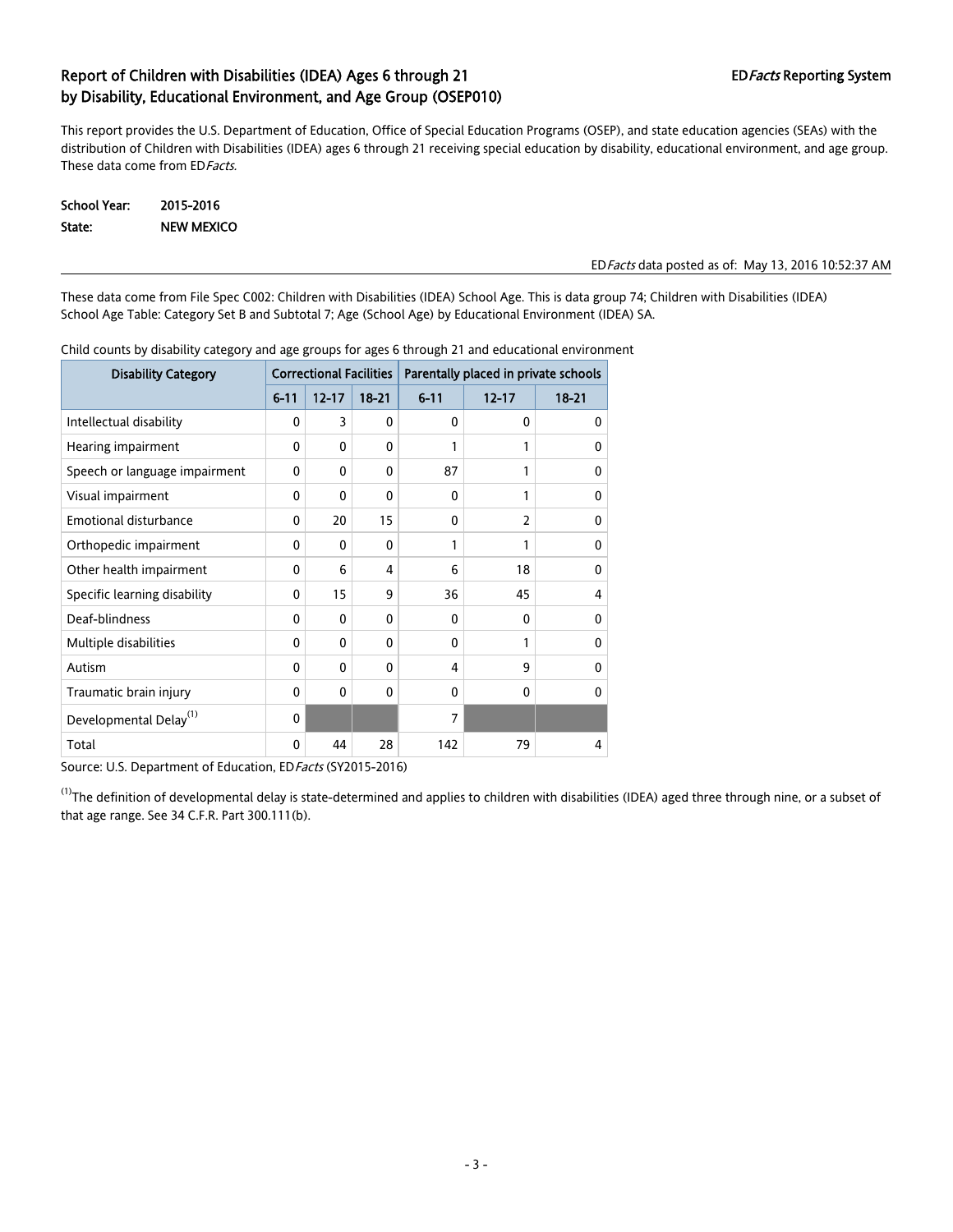This report provides the U.S. Department of Education, Office of Special Education Programs (OSEP), and state education agencies (SEAs) with the distribution of Children with Disabilities (IDEA) ages 6 through 21 receiving special education by disability, educational environment, and age group. These data come from ED Facts.

| School Year: | 2015-2016         |
|--------------|-------------------|
| State:       | <b>NEW MEXICO</b> |

#### EDFacts data posted as of: May 13, 2016 10:52:37 AM

These data come from File Spec C002: Children with Disabilities (IDEA) School Age. This is data group 74; Children with Disabilities (IDEA) School Age Table: Category Set B and Subtotal 7; Age (School Age) by Educational Environment (IDEA) SA.

| <b>Disability Category</b>         | <b>Correctional Facilities</b> |              |              | Parentally placed in private schools |                          |           |  |
|------------------------------------|--------------------------------|--------------|--------------|--------------------------------------|--------------------------|-----------|--|
|                                    | $6 - 11$                       | $12 - 17$    | $18 - 21$    | $6 - 11$                             | $12 - 17$                | $18 - 21$ |  |
| Intellectual disability            | 0                              | 3            | $\mathbf{0}$ | 0                                    | 0                        | 0         |  |
| Hearing impairment                 | 0                              | $\mathbf{0}$ | $\Omega$     | 1                                    | 1                        | 0         |  |
| Speech or language impairment      | 0                              | 0            | $\Omega$     | 87                                   | 1                        | $\Omega$  |  |
| Visual impairment                  | 0                              | 0            | $\mathbf{0}$ | 0                                    | 1                        | 0         |  |
| Emotional disturbance              | 0                              | 20           | 15           | $\Omega$                             | $\overline{\phantom{a}}$ | 0         |  |
| Orthopedic impairment              | 0                              | 0            | $\Omega$     | 1                                    | 1                        | 0         |  |
| Other health impairment            | 0                              | 6            | 4            | 6                                    | 18                       | 0         |  |
| Specific learning disability       | 0                              | 15           | 9            | 36                                   | 45                       | 4         |  |
| Deaf-blindness                     | 0                              | 0            | $\mathbf{0}$ | 0                                    | 0                        | 0         |  |
| Multiple disabilities              | 0                              | $\mathbf{0}$ | $\Omega$     | $\Omega$                             |                          | $\Omega$  |  |
| Autism                             | 0                              | 0            | $\Omega$     | 4                                    | 9                        | 0         |  |
| Traumatic brain injury             | 0                              | 0            | $\mathbf{0}$ | $\Omega$                             | $\Omega$                 | 0         |  |
| Developmental Delay <sup>(1)</sup> | 0                              |              |              | 7                                    |                          |           |  |
| Total                              | 0                              | 44           | 28           | 142                                  | 79                       | 4         |  |

Child counts by disability category and age groups for ages 6 through 21 and educational environment

Source: U.S. Department of Education, ED Facts (SY2015-2016)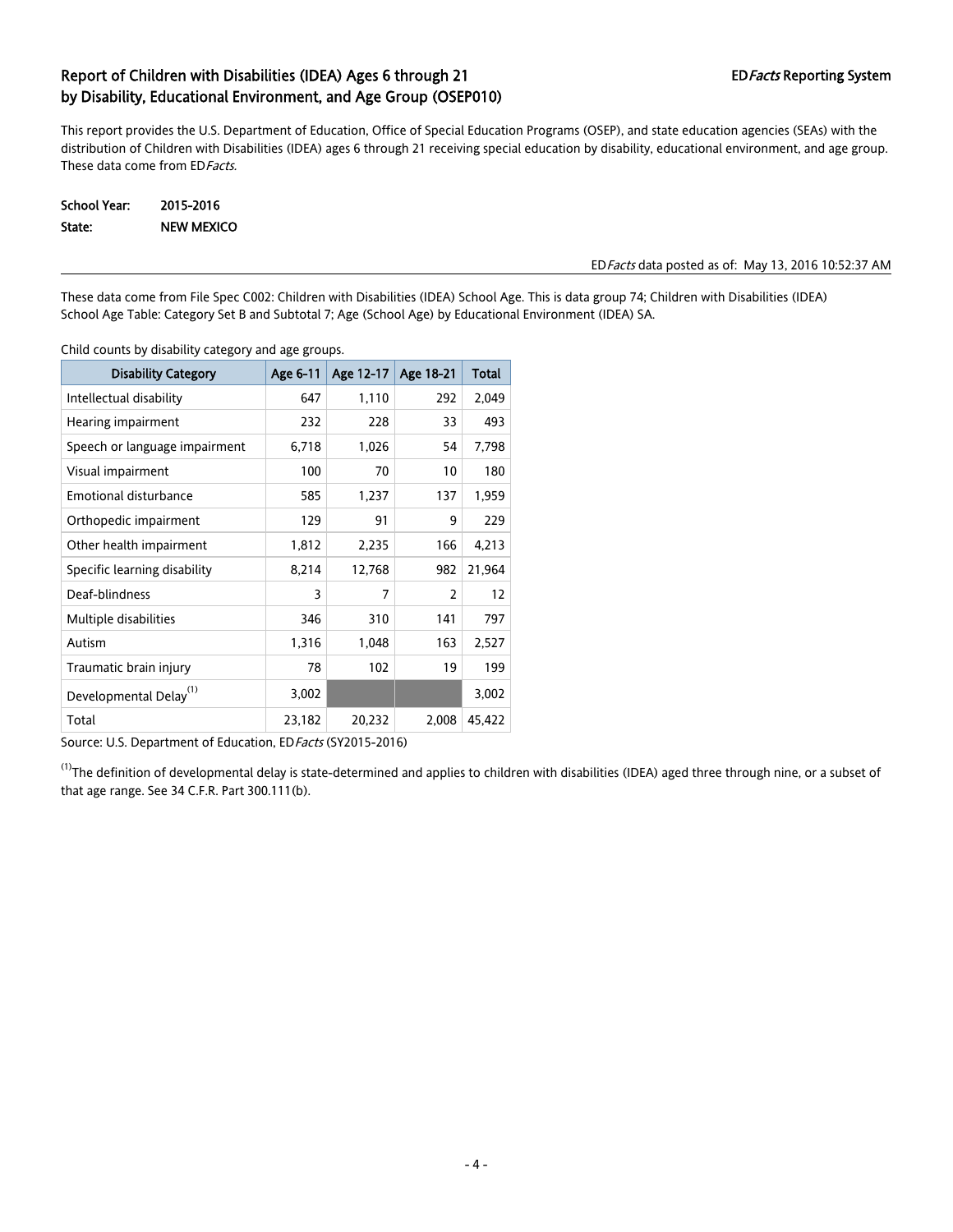This report provides the U.S. Department of Education, Office of Special Education Programs (OSEP), and state education agencies (SEAs) with the distribution of Children with Disabilities (IDEA) ages 6 through 21 receiving special education by disability, educational environment, and age group. These data come from ED Facts.

School Year: 2015-2016 State: NEW MEXICO

#### EDFacts data posted as of: May 13, 2016 10:52:37 AM

These data come from File Spec C002: Children with Disabilities (IDEA) School Age. This is data group 74; Children with Disabilities (IDEA) School Age Table: Category Set B and Subtotal 7; Age (School Age) by Educational Environment (IDEA) SA.

Child counts by disability category and age groups.

| <b>Disability Category</b>         | Age 6-11 | Age 12-17 | Age 18-21      | <b>Total</b> |
|------------------------------------|----------|-----------|----------------|--------------|
| Intellectual disability            | 647      | 1,110     | 292            | 2,049        |
| Hearing impairment                 | 232      | 228       | 33             | 493          |
| Speech or language impairment      | 6,718    | 1,026     | 54             | 7,798        |
| Visual impairment                  | 100      | 70        | 10             | 180          |
| <b>Emotional disturbance</b>       | 585      | 1,237     | 137            | 1,959        |
| Orthopedic impairment              | 129      | 91        | 9              | 229          |
| Other health impairment            | 1,812    | 2,235     | 166            | 4,213        |
| Specific learning disability       | 8,214    | 12,768    | 982            | 21,964       |
| Deaf-blindness                     | 3        | 7         | $\overline{2}$ | 12           |
| Multiple disabilities              | 346      | 310       | 141            | 797          |
| Autism                             | 1,316    | 1,048     | 163            | 2,527        |
| Traumatic brain injury             | 78       | 102       | 19             | 199          |
| Developmental Delay <sup>(1)</sup> | 3,002    |           |                | 3,002        |
| Total                              | 23,182   | 20,232    | 2,008          | 45,422       |

Source: U.S. Department of Education, ED Facts (SY2015-2016)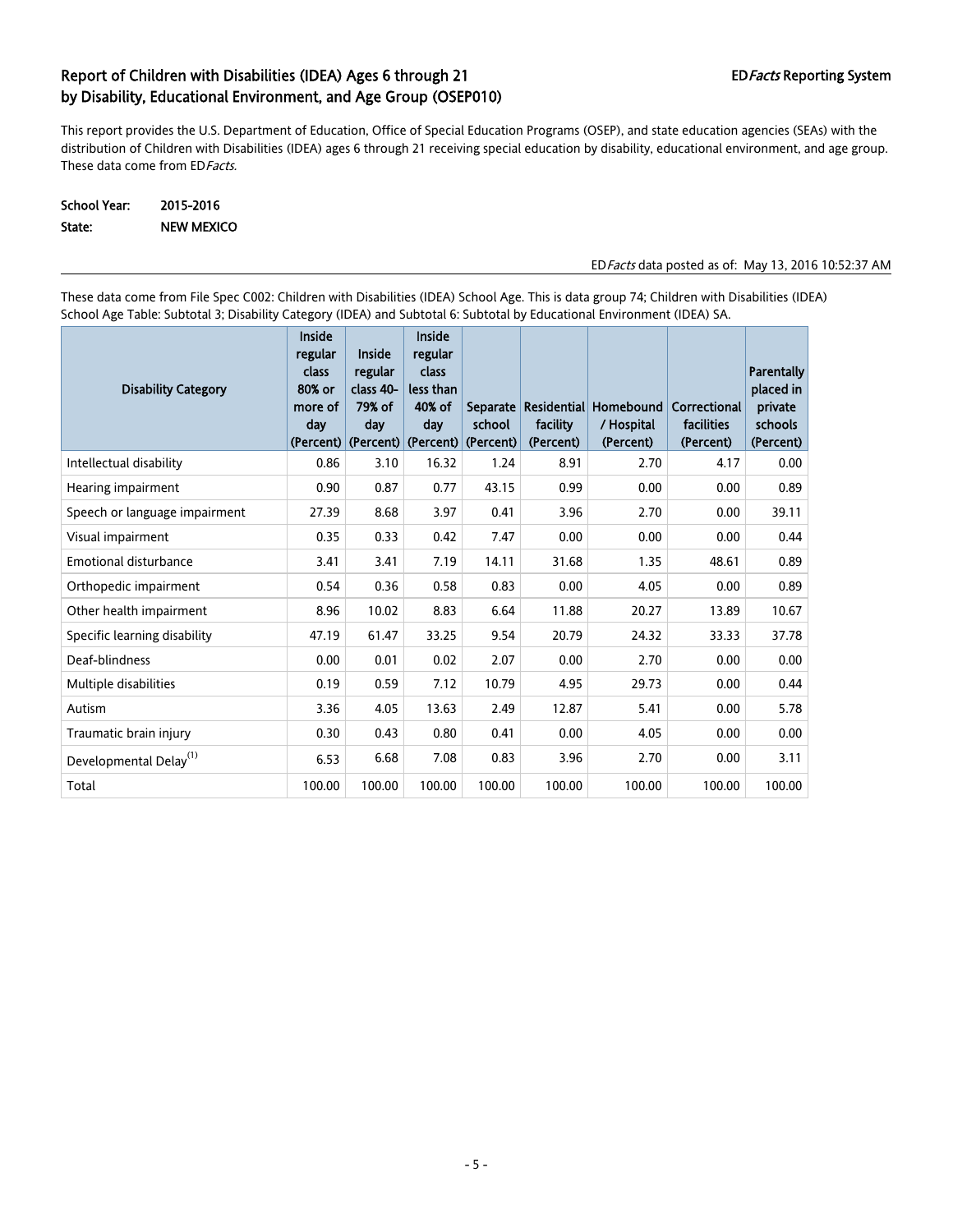This report provides the U.S. Department of Education, Office of Special Education Programs (OSEP), and state education agencies (SEAs) with the distribution of Children with Disabilities (IDEA) ages 6 through 21 receiving special education by disability, educational environment, and age group. These data come from ED Facts.

School Year: 2015-2016 State: NEW MEXICO

EDFacts data posted as of: May 13, 2016 10:52:37 AM

These data come from File Spec C002: Children with Disabilities (IDEA) School Age. This is data group 74; Children with Disabilities (IDEA) School Age Table: Subtotal 3; Disability Category (IDEA) and Subtotal 6: Subtotal by Educational Environment (IDEA) SA.

| <b>Disability Category</b>         | <b>Inside</b><br>regular<br>class<br>80% or<br>more of<br>day | Inside<br>regular<br>class 40-<br>79% of<br>day<br>(Percent) (Percent) (Percent) | <b>Inside</b><br>regular<br>class<br>less than<br>40% of<br>day | school<br>(Percent) | facility<br>(Percent) | Separate Residential Homebound<br>/ Hospital<br>(Percent) | Correctional<br>facilities<br>(Percent) | Parentally<br>placed in<br>private<br>schools<br>(Percent) |
|------------------------------------|---------------------------------------------------------------|----------------------------------------------------------------------------------|-----------------------------------------------------------------|---------------------|-----------------------|-----------------------------------------------------------|-----------------------------------------|------------------------------------------------------------|
| Intellectual disability            | 0.86                                                          | 3.10                                                                             | 16.32                                                           | 1.24                | 8.91                  | 2.70                                                      | 4.17                                    | 0.00                                                       |
| Hearing impairment                 | 0.90                                                          | 0.87                                                                             | 0.77                                                            | 43.15               | 0.99                  | 0.00                                                      | 0.00                                    | 0.89                                                       |
| Speech or language impairment      | 27.39                                                         | 8.68                                                                             | 3.97                                                            | 0.41                | 3.96                  | 2.70                                                      | 0.00                                    | 39.11                                                      |
| Visual impairment                  | 0.35                                                          | 0.33                                                                             | 0.42                                                            | 7.47                | 0.00                  | 0.00                                                      | 0.00                                    | 0.44                                                       |
| <b>Emotional disturbance</b>       | 3.41                                                          | 3.41                                                                             | 7.19                                                            | 14.11               | 31.68                 | 1.35                                                      | 48.61                                   | 0.89                                                       |
| Orthopedic impairment              | 0.54                                                          | 0.36                                                                             | 0.58                                                            | 0.83                | 0.00                  | 4.05                                                      | 0.00                                    | 0.89                                                       |
| Other health impairment            | 8.96                                                          | 10.02                                                                            | 8.83                                                            | 6.64                | 11.88                 | 20.27                                                     | 13.89                                   | 10.67                                                      |
| Specific learning disability       | 47.19                                                         | 61.47                                                                            | 33.25                                                           | 9.54                | 20.79                 | 24.32                                                     | 33.33                                   | 37.78                                                      |
| Deaf-blindness                     | 0.00                                                          | 0.01                                                                             | 0.02                                                            | 2.07                | 0.00                  | 2.70                                                      | 0.00                                    | 0.00                                                       |
| Multiple disabilities              | 0.19                                                          | 0.59                                                                             | 7.12                                                            | 10.79               | 4.95                  | 29.73                                                     | 0.00                                    | 0.44                                                       |
| Autism                             | 3.36                                                          | 4.05                                                                             | 13.63                                                           | 2.49                | 12.87                 | 5.41                                                      | 0.00                                    | 5.78                                                       |
| Traumatic brain injury             | 0.30                                                          | 0.43                                                                             | 0.80                                                            | 0.41                | 0.00                  | 4.05                                                      | 0.00                                    | 0.00                                                       |
| Developmental Delay <sup>(1)</sup> | 6.53                                                          | 6.68                                                                             | 7.08                                                            | 0.83                | 3.96                  | 2.70                                                      | 0.00                                    | 3.11                                                       |
| Total                              | 100.00                                                        | 100.00                                                                           | 100.00                                                          | 100.00              | 100.00                | 100.00                                                    | 100.00                                  | 100.00                                                     |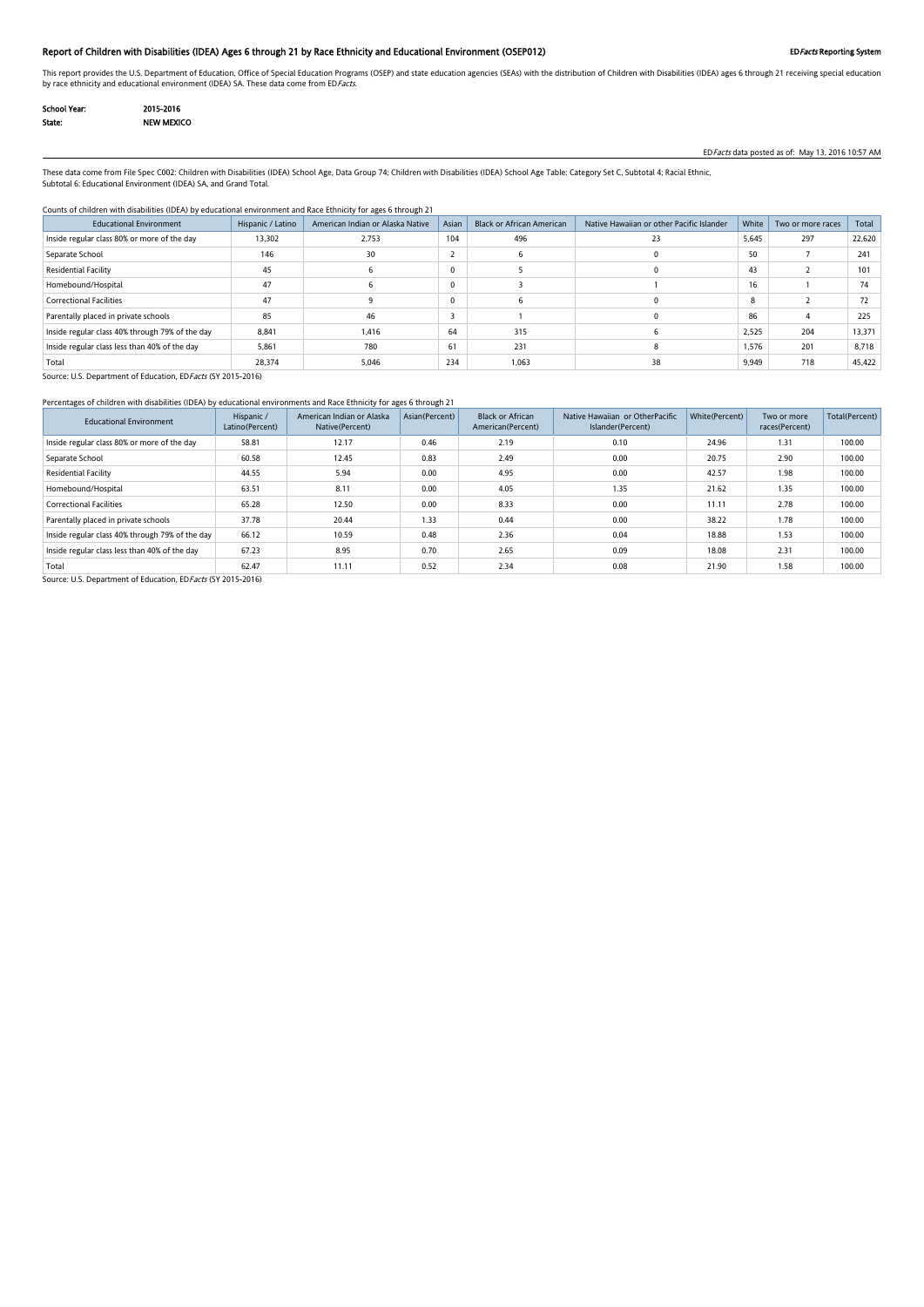### Report of Children with Disabilities (IDEA) Ages 6 through 21 by Race Ethnicity and Educational Environment (OSEP012) EDFacts Reporting System

This report provides the U.S. Department of Education, Office of Special Education Programs (OSEP) and state education agencies (SEAs) with the distribution of Children with Disabilities (IDEA) ages 6 through 21 receiving by race ethnicity and educational environment (IDEA) SA. These data come from EDFacts.

| School Year: | 2015-2016         |
|--------------|-------------------|
| State:       | <b>NEW MEXICO</b> |

EDFacts data posted as of: May 13, 2016 10:57 AM

These data come from File Spec C002: Children with Disabilities (IDEA) School Age, Data Group 74; Children with Disabilities (IDEA) School Age Table: Category Set C, Subtotal 4; Racial Ethnic, Subtotal 6: Educational Environment (IDEA) SA, and Grand Total.

#### Counts of children with disabilities (IDEA) by educational environment and Race Ethnicity for ages 6 through 21

| <b>Educational Environment</b>                  | Hispanic / Latino | American Indian or Alaska Native | Asian | <b>Black or African American</b> | Native Hawaiian or other Pacific Islander | White | Two or more races | Total  |
|-------------------------------------------------|-------------------|----------------------------------|-------|----------------------------------|-------------------------------------------|-------|-------------------|--------|
| Inside regular class 80% or more of the day     | 13,302            | 2,753                            | 104   | 496                              | 23                                        | 5,645 | 297               | 22,620 |
| Separate School                                 | 146               | 30                               |       |                                  |                                           | 50    |                   | 241    |
| <b>Residential Facility</b>                     | 45                | n                                | 0     |                                  |                                           | 43    |                   | 101    |
| Homebound/Hospital                              | 47                |                                  | 0     |                                  |                                           | 16    |                   | 74     |
| <b>Correctional Facilities</b>                  | 47                |                                  | 0     |                                  |                                           | 8     |                   | 72     |
| Parentally placed in private schools            | 85                | 46                               |       |                                  |                                           | 86    |                   | 225    |
| Inside regular class 40% through 79% of the day | 8,841             | 1,416                            | 64    | 315                              |                                           | 2,525 | 204               | 13,371 |
| Inside regular class less than 40% of the day   | 5,861             | 780                              | 61    | 231                              |                                           | 1.576 | 201               | 8,718  |
| Total                                           | 28,374            | 5,046                            | 234   | 1,063                            | 38                                        | 9,949 | 718               | 45,422 |

Source: U.S. Department of Education, ED Facts (SY 2015-2016)

### Percentages of children with disabilities (IDEA) by educational environments and Race Ethnicity for ages 6 through 21

| <b>Educational Environment</b>                  | Hispanic /<br>Latino(Percent) | American Indian or Alaska<br>Native(Percent) | Asian(Percent) | <b>Black or African</b><br>American(Percent) | Native Hawaiian or OtherPacific<br>Islander(Percent) | White(Percent) | Two or more<br>races(Percent) | Total(Percent) |
|-------------------------------------------------|-------------------------------|----------------------------------------------|----------------|----------------------------------------------|------------------------------------------------------|----------------|-------------------------------|----------------|
| Inside regular class 80% or more of the day     | 58.81                         | 12.17                                        | 0.46           | 2.19                                         | 0.10                                                 | 24.96          | 1.31                          | 100.00         |
| Separate School                                 | 60.58                         | 12.45                                        | 0.83           | 2.49                                         | 0.00                                                 | 20.75          | 2.90                          | 100.00         |
| Residential Facility                            | 44.55                         | 5.94                                         | 0.00           | 4.95                                         | 0.00                                                 | 42.57          | 1.98                          | 100.00         |
| Homebound/Hospital                              | 63.51                         | 8.11                                         | 0.00           | 4.05                                         | 1.35                                                 | 21.62          | 1.35                          | 100.00         |
| <b>Correctional Facilities</b>                  | 65.28                         | 12.50                                        | 0.00           | 8.33                                         | 0.00                                                 | 11.11          | 2.78                          | 100.00         |
| Parentally placed in private schools            | 37.78                         | 20.44                                        | 1.33           | 0.44                                         | 0.00                                                 | 38.22          | 1.78                          | 100.00         |
| Inside regular class 40% through 79% of the day | 66.12                         | 10.59                                        | 0.48           | 2.36                                         | 0.04                                                 | 18.88          | 1.53                          | 100.00         |
| Inside regular class less than 40% of the day   | 67.23                         | 8.95                                         | 0.70           | 2.65                                         | 0.09                                                 | 18.08          | 2.31                          | 100.00         |
| Total                                           | 62.47                         | 11.11                                        | 0.52           | 2.34                                         | 0.08                                                 | 21.90          | 1.58                          | 100.00         |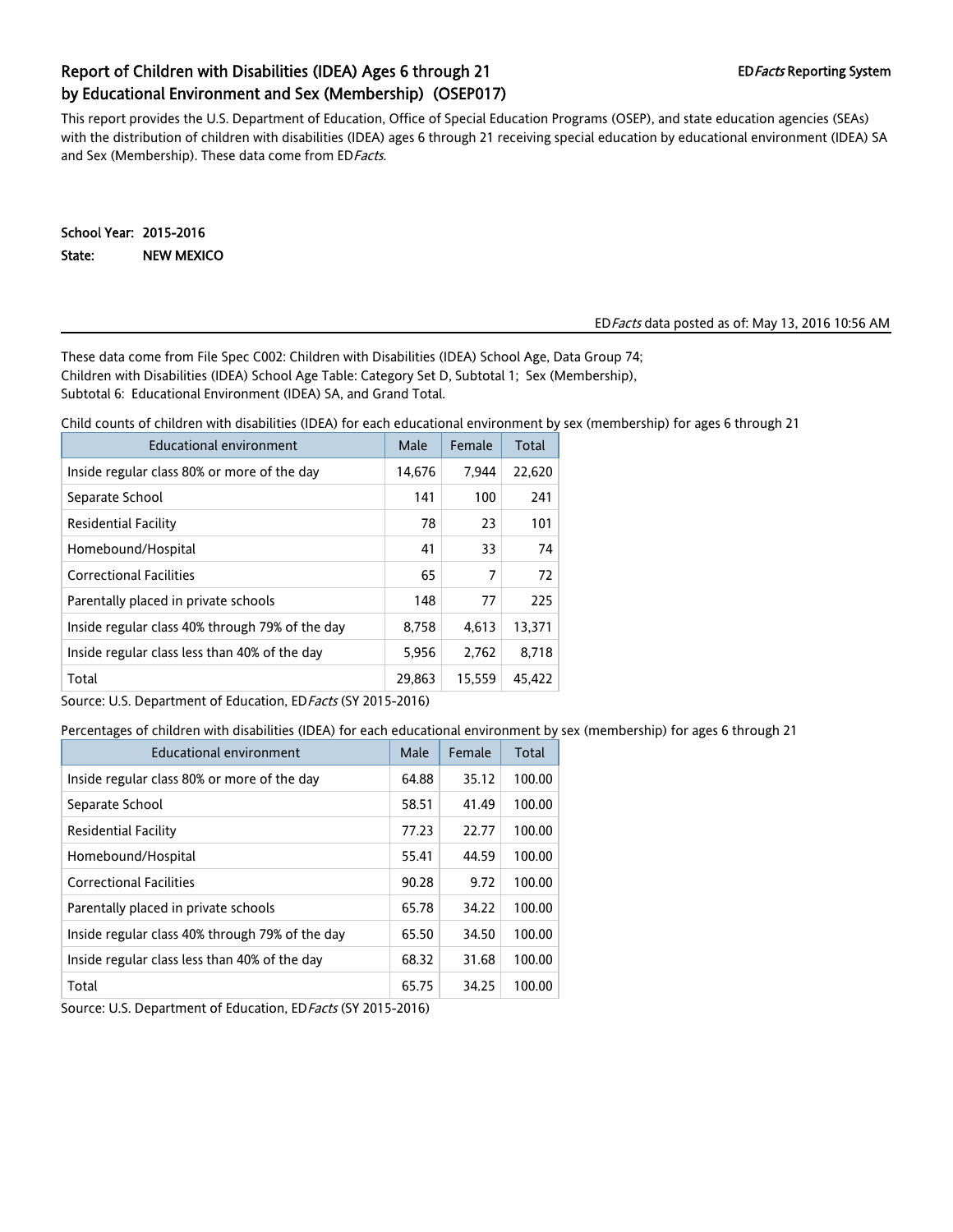# Report of Children with Disabilities (IDEA) Ages 6 through 21 EDFacts Reporting System by Educational Environment and Sex (Membership) (OSEP017)

This report provides the U.S. Department of Education, Office of Special Education Programs (OSEP), and state education agencies (SEAs) with the distribution of children with disabilities (IDEA) ages 6 through 21 receiving special education by educational environment (IDEA) SA and Sex (Membership). These data come from ED Facts.

School Year: 2015-2016 State: NEW MEXICO

#### EDFacts data posted as of: May 13, 2016 10:56 AM

These data come from File Spec C002: Children with Disabilities (IDEA) School Age, Data Group 74; Children with Disabilities (IDEA) School Age Table: Category Set D, Subtotal 1; Sex (Membership), Subtotal 6: Educational Environment (IDEA) SA, and Grand Total.

Child counts of children with disabilities (IDEA) for each educational environment by sex (membership) for ages 6 through 21

| Educational environment                         | Male   | Female | Total  |
|-------------------------------------------------|--------|--------|--------|
| Inside regular class 80% or more of the day     | 14,676 | 7,944  | 22,620 |
| Separate School                                 | 141    | 100    | 241    |
| Residential Facility                            | 78     | 23     | 101    |
| Homebound/Hospital                              | 41     | 33     | 74     |
| <b>Correctional Facilities</b>                  | 65     | 7      | 72     |
| Parentally placed in private schools            | 148    | 77     | 225    |
| Inside regular class 40% through 79% of the day | 8,758  | 4,613  | 13,371 |
| Inside regular class less than 40% of the day   | 5,956  | 2,762  | 8.718  |
| Total                                           | 29,863 | 15,559 | 45,422 |

Source: U.S. Department of Education, ED Facts (SY 2015-2016)

Percentages of children with disabilities (IDEA) for each educational environment by sex (membership) for ages 6 through 21

| Educational environment                         | Male  | Female | Total  |
|-------------------------------------------------|-------|--------|--------|
| Inside regular class 80% or more of the day     | 64.88 | 35.12  | 100.00 |
| Separate School                                 | 58.51 | 41.49  | 100.00 |
| <b>Residential Facility</b>                     | 77.23 | 22.77  | 100.00 |
| Homebound/Hospital                              | 55.41 | 44.59  | 100.00 |
| <b>Correctional Facilities</b>                  | 90.28 | 9.72   | 100.00 |
| Parentally placed in private schools            | 65.78 | 34.22  | 100.00 |
| Inside regular class 40% through 79% of the day | 65.50 | 34.50  | 100.00 |
| Inside regular class less than 40% of the day   | 68.32 | 31.68  | 100.00 |
| Total                                           | 65.75 | 34.25  | 100.00 |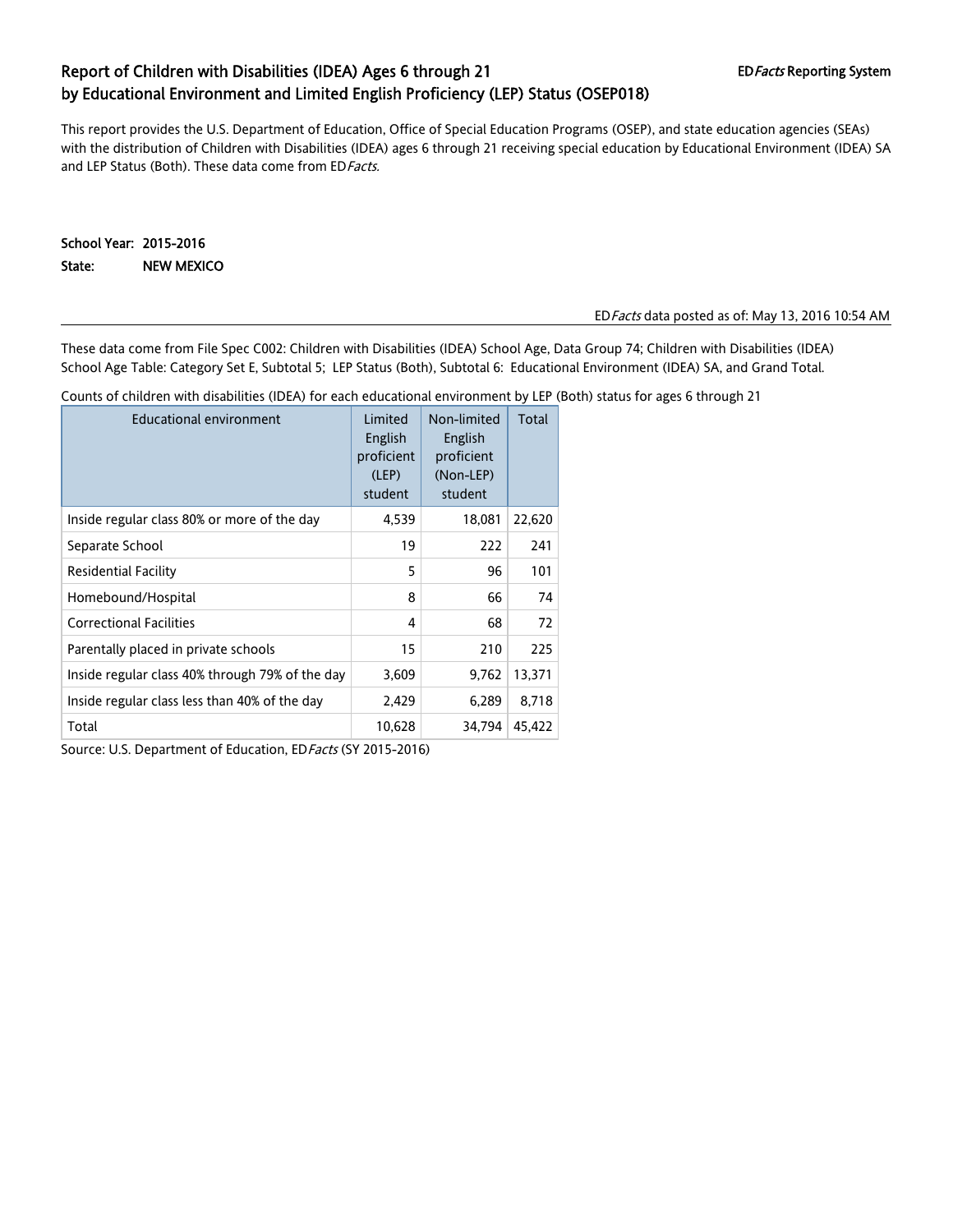# Report of Children with Disabilities (IDEA) Ages 6 through 21 EDFacts Reporting System by Educational Environment and Limited English Proficiency (LEP) Status (OSEP018)

This report provides the U.S. Department of Education, Office of Special Education Programs (OSEP), and state education agencies (SEAs) with the distribution of Children with Disabilities (IDEA) ages 6 through 21 receiving special education by Educational Environment (IDEA) SA and LEP Status (Both). These data come from ED Facts.

School Year: 2015-2016 State: NEW MEXICO

#### EDFacts data posted as of: May 13, 2016 10:54 AM

These data come from File Spec C002: Children with Disabilities (IDEA) School Age, Data Group 74; Children with Disabilities (IDEA) School Age Table: Category Set E, Subtotal 5; LEP Status (Both), Subtotal 6: Educational Environment (IDEA) SA, and Grand Total.

Counts of children with disabilities (IDEA) for each educational environment by LEP (Both) status for ages 6 through 21

| <b>Educational environment</b>                  | Limited<br>English<br>proficient<br>(LEP)<br>student | Non-limited<br>English<br>proficient<br>(Non-LEP)<br>student | Total  |
|-------------------------------------------------|------------------------------------------------------|--------------------------------------------------------------|--------|
| Inside regular class 80% or more of the day     | 4,539                                                | 18,081                                                       | 22,620 |
| Separate School                                 | 19                                                   | 222                                                          | 241    |
| Residential Facility                            | 5                                                    | 96                                                           | 101    |
| Homebound/Hospital                              | 8                                                    | 66                                                           | 74     |
| <b>Correctional Facilities</b>                  | 4                                                    | 68                                                           | 72     |
| Parentally placed in private schools            | 15                                                   | 210                                                          | 225    |
| Inside regular class 40% through 79% of the day | 3,609                                                | 9,762                                                        | 13,371 |
| Inside regular class less than 40% of the day   | 2,429                                                | 6,289                                                        | 8.718  |
| Total                                           | 10,628                                               | 34.794                                                       | 45.422 |